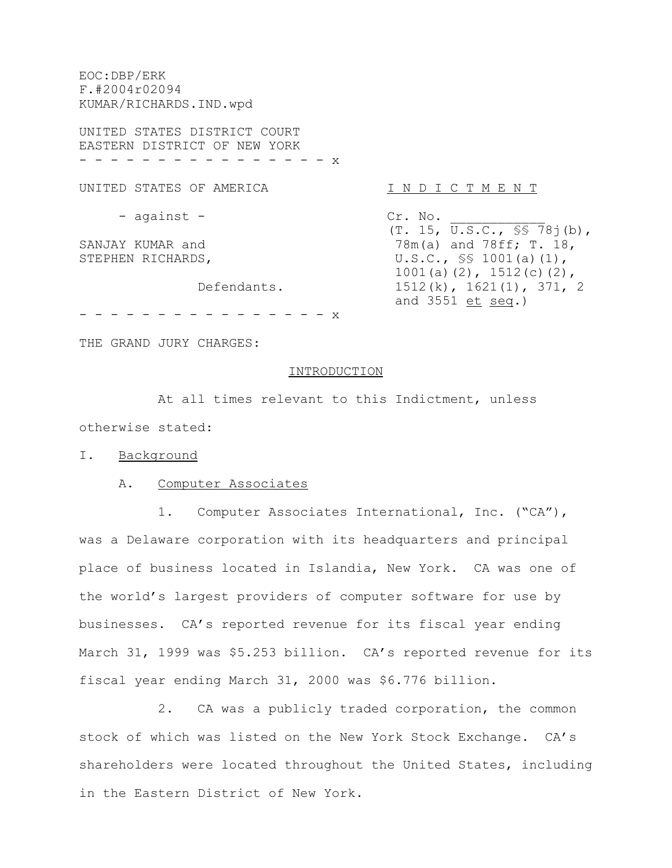EOC:DBP/ERK F.#2004r02094 KUMAR/RICHARDS.IND.wpd UNITED STATES DISTRICT COURT EASTERN DISTRICT OF NEW YORK - - - - - - - - - - - - - - - x UNITED STATES OF AMERICA THE N T O I C T M E N T - against - Cr. No.  $(T. 15, \overline{U.S.C., S} S 78j(b)),$ SANJAY KUMAR and  $78m(a)$  and  $78ff; T. 18$ , STEPHEN RICHARDS,  $U.S.C., S$ 1001(a)(1),$ 1001(a)(2), 1512(c)(2), Defendants. 1512(k), 1621(1), 371, 2 and 3551 et seq.)

- - - - - - - - - - - - - - - - x

THE GRAND JURY CHARGES:

#### INTRODUCTION

At all times relevant to this Indictment, unless otherwise stated:

#### I. Background

## A. Computer Associates

1. Computer Associates International, Inc. ("CA"), was a Delaware corporation with its headquarters and principal place of business located in Islandia, New York. CA was one of the world's largest providers of computer software for use by businesses. CA's reported revenue for its fiscal year ending March 31, 1999 was \$5.253 billion. CA's reported revenue for its fiscal year ending March 31, 2000 was \$6.776 billion.

2. CA was a publicly traded corporation, the common stock of which was listed on the New York Stock Exchange. CA's shareholders were located throughout the United States, including in the Eastern District of New York.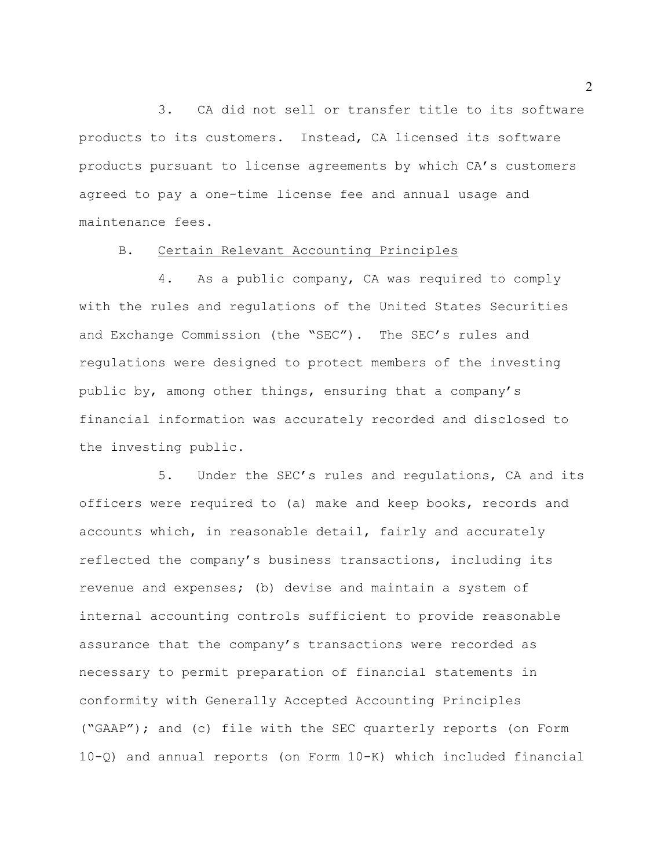3. CA did not sell or transfer title to its software products to its customers. Instead, CA licensed its software products pursuant to license agreements by which CA's customers agreed to pay a one-time license fee and annual usage and maintenance fees.

## B. Certain Relevant Accounting Principles

4. As a public company, CA was required to comply with the rules and regulations of the United States Securities and Exchange Commission (the "SEC"). The SEC's rules and regulations were designed to protect members of the investing public by, among other things, ensuring that a company's financial information was accurately recorded and disclosed to the investing public.

5. Under the SEC's rules and regulations, CA and its officers were required to (a) make and keep books, records and accounts which, in reasonable detail, fairly and accurately reflected the company's business transactions, including its revenue and expenses; (b) devise and maintain a system of internal accounting controls sufficient to provide reasonable assurance that the company's transactions were recorded as necessary to permit preparation of financial statements in conformity with Generally Accepted Accounting Principles ("GAAP"); and (c) file with the SEC quarterly reports (on Form 10-Q) and annual reports (on Form 10-K) which included financial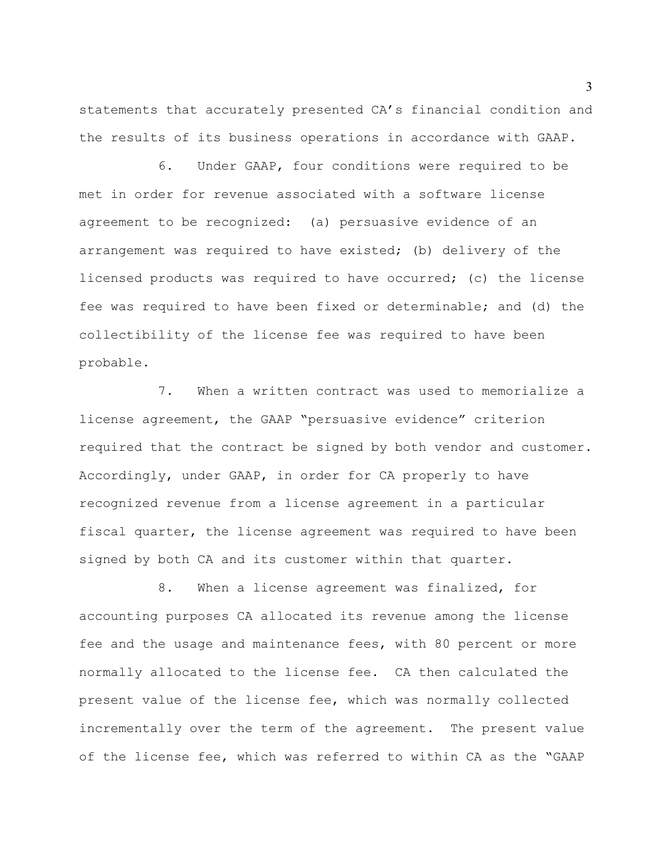statements that accurately presented CA's financial condition and the results of its business operations in accordance with GAAP.

6. Under GAAP, four conditions were required to be met in order for revenue associated with a software license agreement to be recognized: (a) persuasive evidence of an arrangement was required to have existed; (b) delivery of the licensed products was required to have occurred; (c) the license fee was required to have been fixed or determinable; and (d) the collectibility of the license fee was required to have been probable.

7. When a written contract was used to memorialize a license agreement, the GAAP "persuasive evidence" criterion required that the contract be signed by both vendor and customer. Accordingly, under GAAP, in order for CA properly to have recognized revenue from a license agreement in a particular fiscal quarter, the license agreement was required to have been signed by both CA and its customer within that quarter.

8. When a license agreement was finalized, for accounting purposes CA allocated its revenue among the license fee and the usage and maintenance fees, with 80 percent or more normally allocated to the license fee. CA then calculated the present value of the license fee, which was normally collected incrementally over the term of the agreement. The present value of the license fee, which was referred to within CA as the "GAAP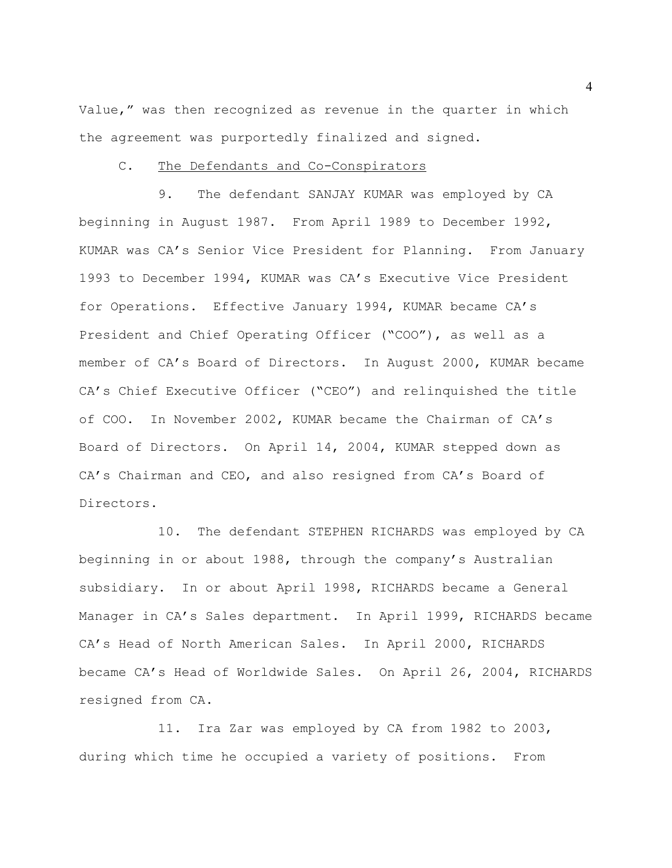Value," was then recognized as revenue in the quarter in which the agreement was purportedly finalized and signed.

#### C. The Defendants and Co-Conspirators

9. The defendant SANJAY KUMAR was employed by CA beginning in August 1987. From April 1989 to December 1992, KUMAR was CA's Senior Vice President for Planning. From January 1993 to December 1994, KUMAR was CA's Executive Vice President for Operations. Effective January 1994, KUMAR became CA's President and Chief Operating Officer ("COO"), as well as a member of CA's Board of Directors. In August 2000, KUMAR became CA's Chief Executive Officer ("CEO") and relinquished the title of COO. In November 2002, KUMAR became the Chairman of CA's Board of Directors. On April 14, 2004, KUMAR stepped down as CA's Chairman and CEO, and also resigned from CA's Board of Directors.

10. The defendant STEPHEN RICHARDS was employed by CA beginning in or about 1988, through the company's Australian subsidiary. In or about April 1998, RICHARDS became a General Manager in CA's Sales department. In April 1999, RICHARDS became CA's Head of North American Sales. In April 2000, RICHARDS became CA's Head of Worldwide Sales. On April 26, 2004, RICHARDS resigned from CA.

11. Ira Zar was employed by CA from 1982 to 2003, during which time he occupied a variety of positions. From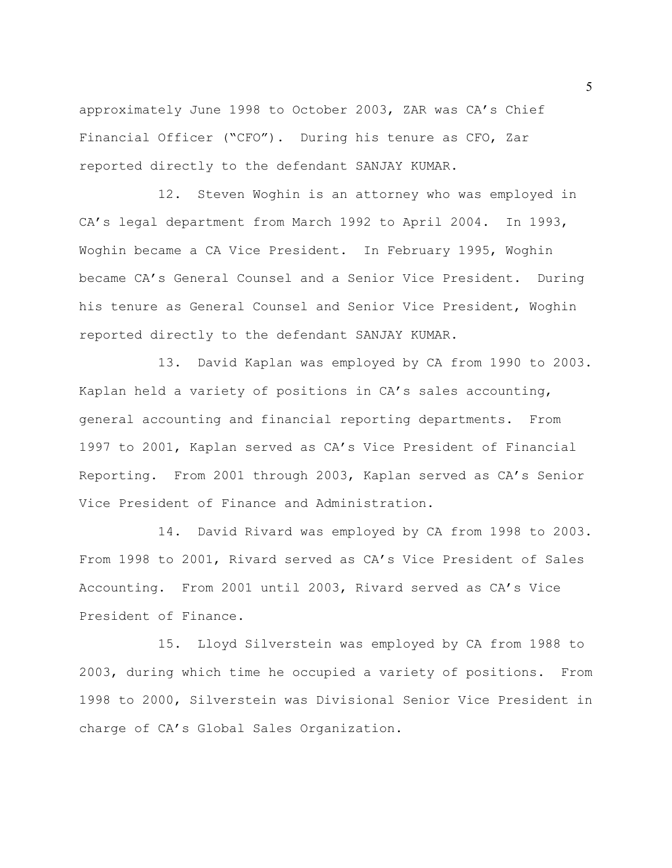approximately June 1998 to October 2003, ZAR was CA's Chief Financial Officer ("CFO"). During his tenure as CFO, Zar reported directly to the defendant SANJAY KUMAR.

12. Steven Woghin is an attorney who was employed in CA's legal department from March 1992 to April 2004. In 1993, Woghin became a CA Vice President. In February 1995, Woghin became CA's General Counsel and a Senior Vice President. During his tenure as General Counsel and Senior Vice President, Woghin reported directly to the defendant SANJAY KUMAR.

13. David Kaplan was employed by CA from 1990 to 2003. Kaplan held a variety of positions in CA's sales accounting, general accounting and financial reporting departments. From 1997 to 2001, Kaplan served as CA's Vice President of Financial Reporting. From 2001 through 2003, Kaplan served as CA's Senior Vice President of Finance and Administration.

14. David Rivard was employed by CA from 1998 to 2003. From 1998 to 2001, Rivard served as CA's Vice President of Sales Accounting. From 2001 until 2003, Rivard served as CA's Vice President of Finance.

15. Lloyd Silverstein was employed by CA from 1988 to 2003, during which time he occupied a variety of positions. From 1998 to 2000, Silverstein was Divisional Senior Vice President in charge of CA's Global Sales Organization.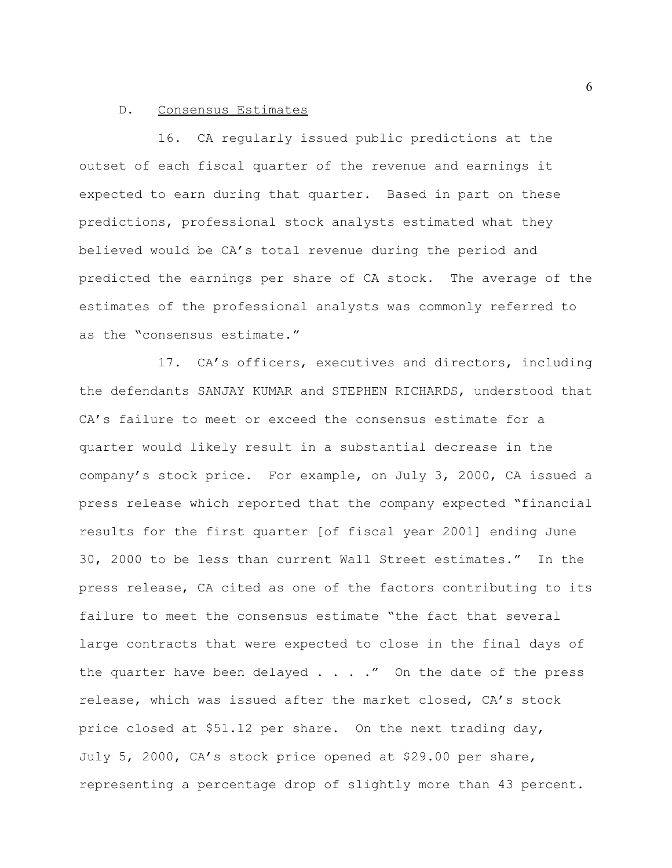### D. Consensus Estimates

16. CA regularly issued public predictions at the outset of each fiscal quarter of the revenue and earnings it expected to earn during that quarter. Based in part on these predictions, professional stock analysts estimated what they believed would be CA's total revenue during the period and predicted the earnings per share of CA stock. The average of the estimates of the professional analysts was commonly referred to as the "consensus estimate."

17. CA's officers, executives and directors, including the defendants SANJAY KUMAR and STEPHEN RICHARDS, understood that CA's failure to meet or exceed the consensus estimate for a quarter would likely result in a substantial decrease in the company's stock price. For example, on July 3, 2000, CA issued a press release which reported that the company expected "financial results for the first quarter [of fiscal year 2001] ending June 30, 2000 to be less than current Wall Street estimates." In the press release, CA cited as one of the factors contributing to its failure to meet the consensus estimate "the fact that several large contracts that were expected to close in the final days of the quarter have been delayed  $\ldots$  . . ." On the date of the press release, which was issued after the market closed, CA's stock price closed at \$51.12 per share. On the next trading day, July 5, 2000, CA's stock price opened at \$29.00 per share, representing a percentage drop of slightly more than 43 percent.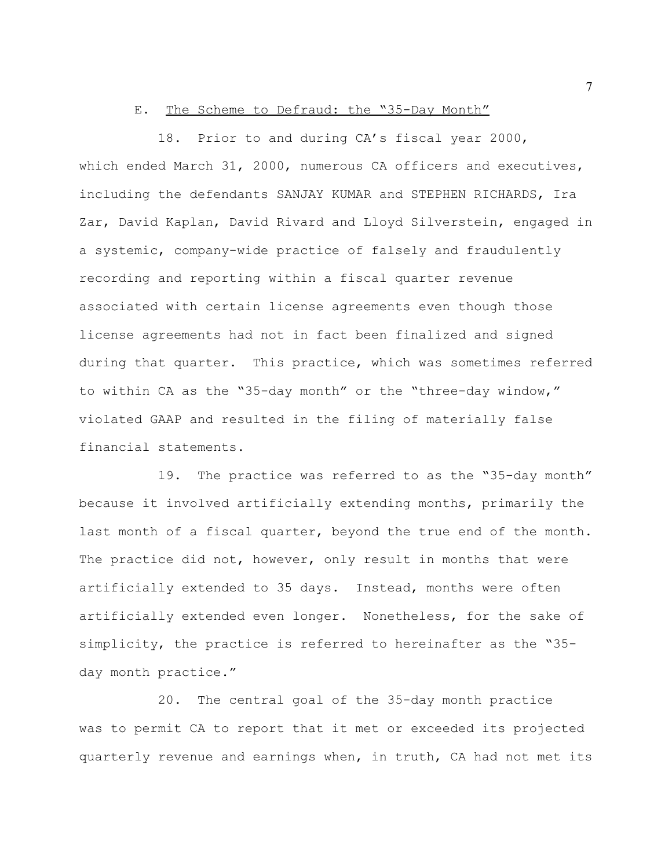### E. The Scheme to Defraud: the "35-Day Month"

18. Prior to and during CA's fiscal year 2000, which ended March 31, 2000, numerous CA officers and executives, including the defendants SANJAY KUMAR and STEPHEN RICHARDS, Ira Zar, David Kaplan, David Rivard and Lloyd Silverstein, engaged in a systemic, company-wide practice of falsely and fraudulently recording and reporting within a fiscal quarter revenue associated with certain license agreements even though those license agreements had not in fact been finalized and signed during that quarter. This practice, which was sometimes referred to within CA as the "35-day month" or the "three-day window," violated GAAP and resulted in the filing of materially false financial statements.

19. The practice was referred to as the "35-day month" because it involved artificially extending months, primarily the last month of a fiscal quarter, beyond the true end of the month. The practice did not, however, only result in months that were artificially extended to 35 days. Instead, months were often artificially extended even longer. Nonetheless, for the sake of simplicity, the practice is referred to hereinafter as the "35 day month practice."

20. The central goal of the 35-day month practice was to permit CA to report that it met or exceeded its projected quarterly revenue and earnings when, in truth, CA had not met its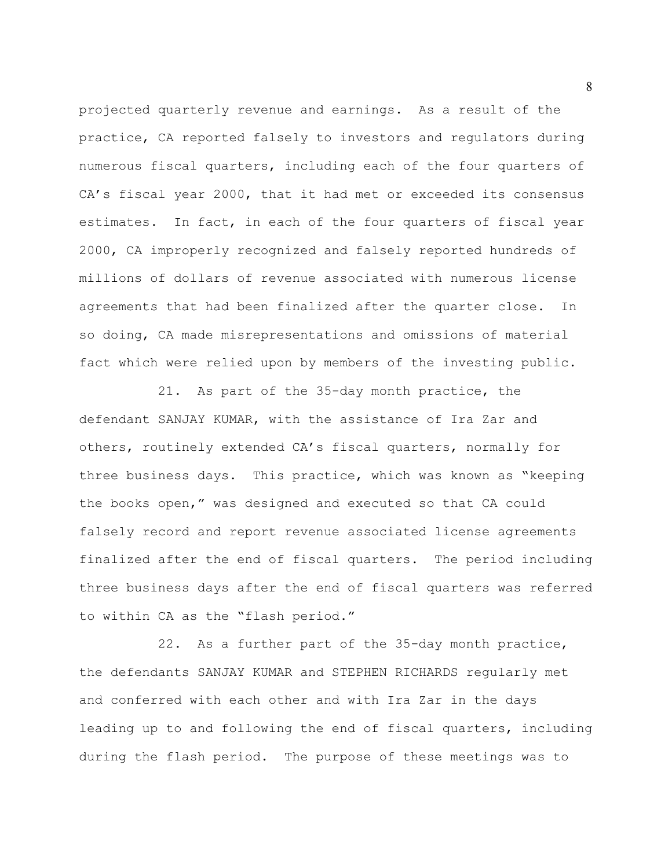projected quarterly revenue and earnings. As a result of the practice, CA reported falsely to investors and regulators during numerous fiscal quarters, including each of the four quarters of CA's fiscal year 2000, that it had met or exceeded its consensus estimates. In fact, in each of the four quarters of fiscal year 2000, CA improperly recognized and falsely reported hundreds of millions of dollars of revenue associated with numerous license agreements that had been finalized after the quarter close. In so doing, CA made misrepresentations and omissions of material fact which were relied upon by members of the investing public.

21. As part of the 35-day month practice, the defendant SANJAY KUMAR, with the assistance of Ira Zar and others, routinely extended CA's fiscal quarters, normally for three business days. This practice, which was known as "keeping the books open," was designed and executed so that CA could falsely record and report revenue associated license agreements finalized after the end of fiscal quarters. The period including three business days after the end of fiscal quarters was referred to within CA as the "flash period."

22. As a further part of the 35-day month practice, the defendants SANJAY KUMAR and STEPHEN RICHARDS regularly met and conferred with each other and with Ira Zar in the days leading up to and following the end of fiscal quarters, including during the flash period. The purpose of these meetings was to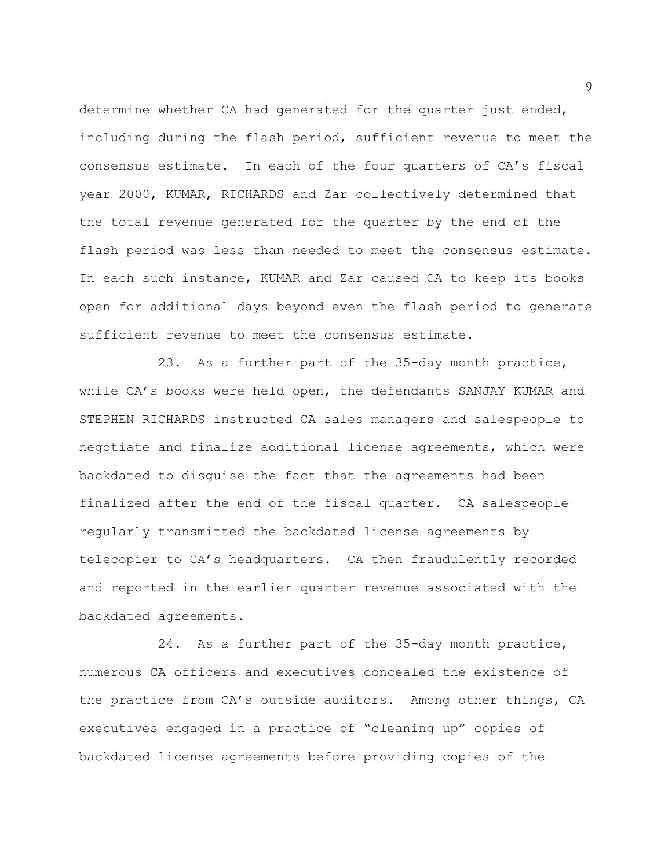determine whether CA had generated for the quarter just ended, including during the flash period, sufficient revenue to meet the consensus estimate. In each of the four quarters of CA's fiscal year 2000, KUMAR, RICHARDS and Zar collectively determined that the total revenue generated for the quarter by the end of the flash period was less than needed to meet the consensus estimate. In each such instance, KUMAR and Zar caused CA to keep its books open for additional days beyond even the flash period to generate sufficient revenue to meet the consensus estimate.

23. As a further part of the 35-day month practice, while CA's books were held open, the defendants SANJAY KUMAR and STEPHEN RICHARDS instructed CA sales managers and salespeople to negotiate and finalize additional license agreements, which were backdated to disguise the fact that the agreements had been finalized after the end of the fiscal quarter. CA salespeople regularly transmitted the backdated license agreements by telecopier to CA's headquarters. CA then fraudulently recorded and reported in the earlier quarter revenue associated with the backdated agreements.

24. As a further part of the 35-day month practice, numerous CA officers and executives concealed the existence of the practice from CA's outside auditors. Among other things, CA executives engaged in a practice of "cleaning up" copies of backdated license agreements before providing copies of the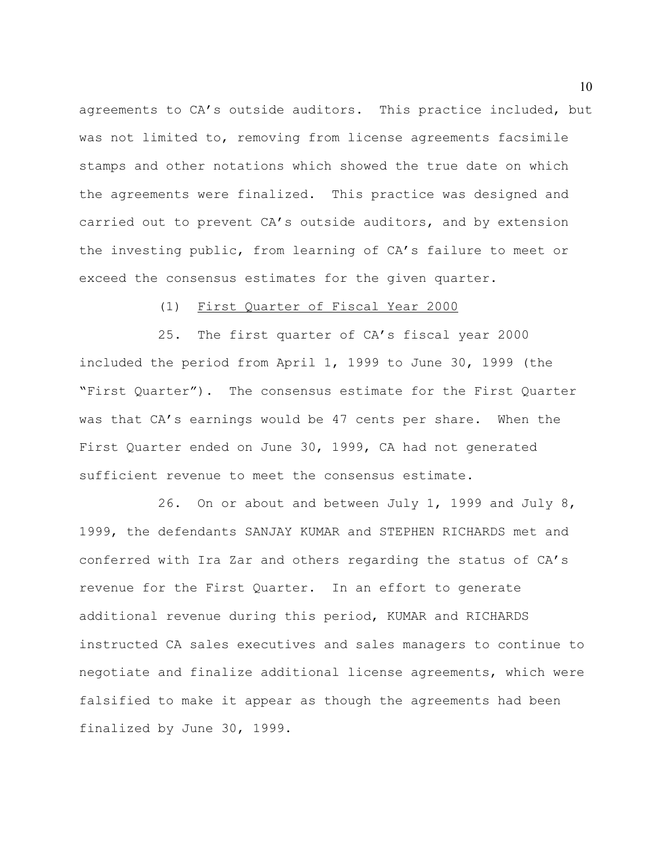agreements to CA's outside auditors. This practice included, but was not limited to, removing from license agreements facsimile stamps and other notations which showed the true date on which the agreements were finalized. This practice was designed and carried out to prevent CA's outside auditors, and by extension the investing public, from learning of CA's failure to meet or exceed the consensus estimates for the given quarter.

## (1) First Quarter of Fiscal Year 2000

25. The first quarter of CA's fiscal year 2000 included the period from April 1, 1999 to June 30, 1999 (the "First Quarter"). The consensus estimate for the First Quarter was that CA's earnings would be 47 cents per share. When the First Quarter ended on June 30, 1999, CA had not generated sufficient revenue to meet the consensus estimate.

26. On or about and between July 1, 1999 and July 8, 1999, the defendants SANJAY KUMAR and STEPHEN RICHARDS met and conferred with Ira Zar and others regarding the status of CA's revenue for the First Quarter. In an effort to generate additional revenue during this period, KUMAR and RICHARDS instructed CA sales executives and sales managers to continue to negotiate and finalize additional license agreements, which were falsified to make it appear as though the agreements had been finalized by June 30, 1999.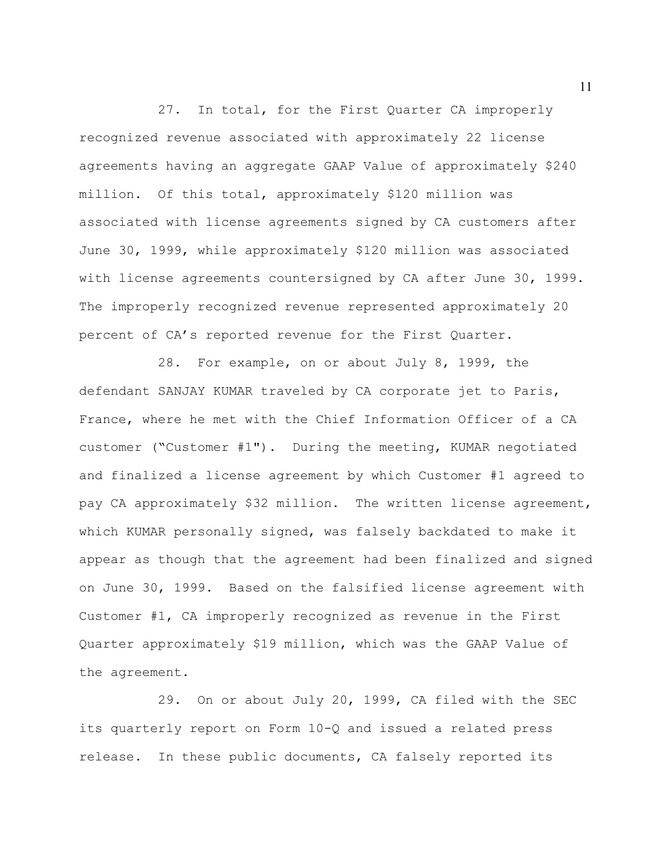27. In total, for the First Quarter CA improperly recognized revenue associated with approximately 22 license agreements having an aggregate GAAP Value of approximately \$240 million. Of this total, approximately \$120 million was associated with license agreements signed by CA customers after June 30, 1999, while approximately \$120 million was associated with license agreements countersigned by CA after June 30, 1999. The improperly recognized revenue represented approximately 20 percent of CA's reported revenue for the First Quarter.

28. For example, on or about July 8, 1999, the defendant SANJAY KUMAR traveled by CA corporate jet to Paris, France, where he met with the Chief Information Officer of a CA customer ("Customer #1"). During the meeting, KUMAR negotiated and finalized a license agreement by which Customer #1 agreed to pay CA approximately \$32 million. The written license agreement, which KUMAR personally signed, was falsely backdated to make it appear as though that the agreement had been finalized and signed on June 30, 1999. Based on the falsified license agreement with Customer #1, CA improperly recognized as revenue in the First Quarter approximately \$19 million, which was the GAAP Value of the agreement.

29. On or about July 20, 1999, CA filed with the SEC its quarterly report on Form 10-Q and issued a related press release. In these public documents, CA falsely reported its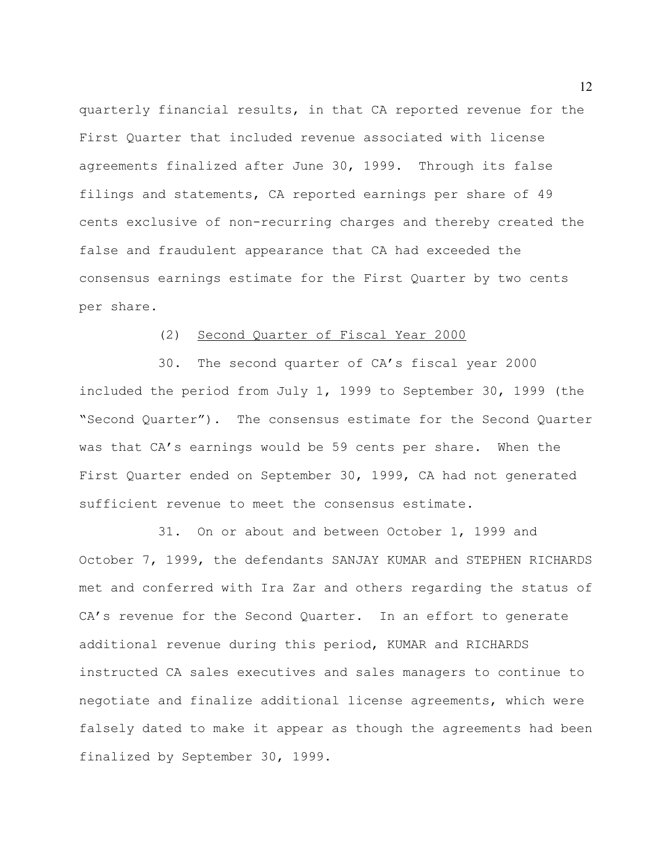quarterly financial results, in that CA reported revenue for the First Quarter that included revenue associated with license agreements finalized after June 30, 1999. Through its false filings and statements, CA reported earnings per share of 49 cents exclusive of non-recurring charges and thereby created the false and fraudulent appearance that CA had exceeded the consensus earnings estimate for the First Quarter by two cents per share.

## (2) Second Quarter of Fiscal Year 2000

30. The second quarter of CA's fiscal year 2000 included the period from July 1, 1999 to September 30, 1999 (the "Second Quarter"). The consensus estimate for the Second Quarter was that CA's earnings would be 59 cents per share. When the First Quarter ended on September 30, 1999, CA had not generated sufficient revenue to meet the consensus estimate.

31. On or about and between October 1, 1999 and October 7, 1999, the defendants SANJAY KUMAR and STEPHEN RICHARDS met and conferred with Ira Zar and others regarding the status of CA's revenue for the Second Quarter. In an effort to generate additional revenue during this period, KUMAR and RICHARDS instructed CA sales executives and sales managers to continue to negotiate and finalize additional license agreements, which were falsely dated to make it appear as though the agreements had been finalized by September 30, 1999.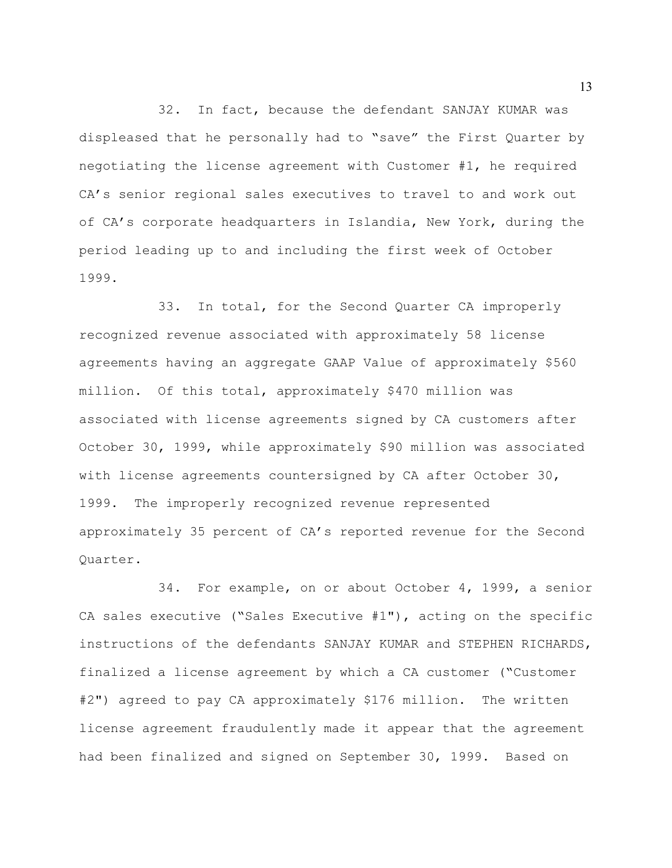32. In fact, because the defendant SANJAY KUMAR was displeased that he personally had to "save" the First Quarter by negotiating the license agreement with Customer #1, he required CA's senior regional sales executives to travel to and work out of CA's corporate headquarters in Islandia, New York, during the period leading up to and including the first week of October 1999.

33. In total, for the Second Quarter CA improperly recognized revenue associated with approximately 58 license agreements having an aggregate GAAP Value of approximately \$560 million. Of this total, approximately \$470 million was associated with license agreements signed by CA customers after October 30, 1999, while approximately \$90 million was associated with license agreements countersigned by CA after October 30, 1999. The improperly recognized revenue represented approximately 35 percent of CA's reported revenue for the Second Quarter.

34. For example, on or about October 4, 1999, a senior CA sales executive ("Sales Executive  $#1"$ ), acting on the specific instructions of the defendants SANJAY KUMAR and STEPHEN RICHARDS, finalized a license agreement by which a CA customer ("Customer #2") agreed to pay CA approximately \$176 million. The written license agreement fraudulently made it appear that the agreement had been finalized and signed on September 30, 1999. Based on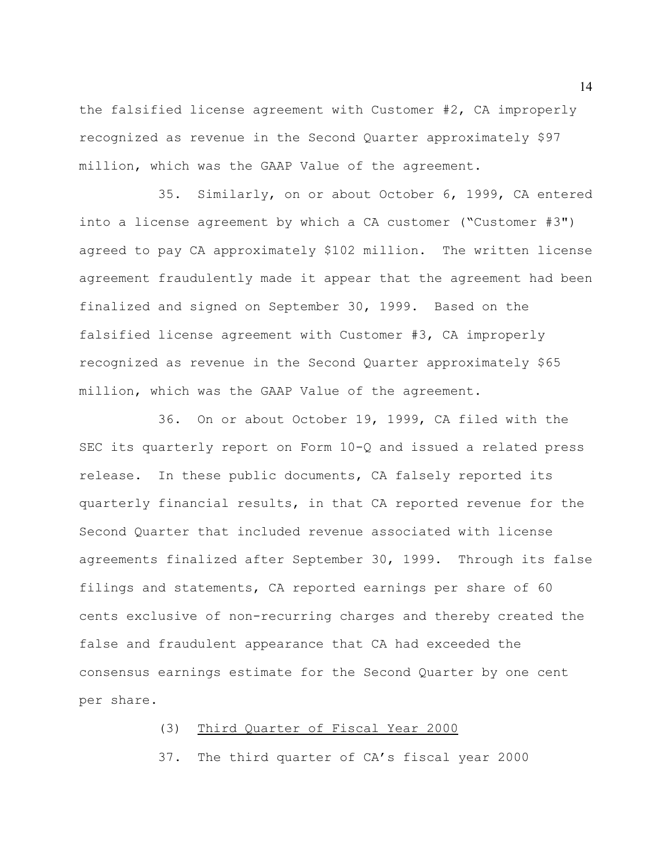the falsified license agreement with Customer #2, CA improperly recognized as revenue in the Second Quarter approximately \$97 million, which was the GAAP Value of the agreement.

35. Similarly, on or about October 6, 1999, CA entered into a license agreement by which a CA customer ("Customer #3") agreed to pay CA approximately \$102 million. The written license agreement fraudulently made it appear that the agreement had been finalized and signed on September 30, 1999. Based on the falsified license agreement with Customer #3, CA improperly recognized as revenue in the Second Quarter approximately \$65 million, which was the GAAP Value of the agreement.

36. On or about October 19, 1999, CA filed with the SEC its quarterly report on Form 10-Q and issued a related press release. In these public documents, CA falsely reported its quarterly financial results, in that CA reported revenue for the Second Quarter that included revenue associated with license agreements finalized after September 30, 1999. Through its false filings and statements, CA reported earnings per share of 60 cents exclusive of non-recurring charges and thereby created the false and fraudulent appearance that CA had exceeded the consensus earnings estimate for the Second Quarter by one cent per share.

## (3) Third Quarter of Fiscal Year 2000

37. The third quarter of CA's fiscal year 2000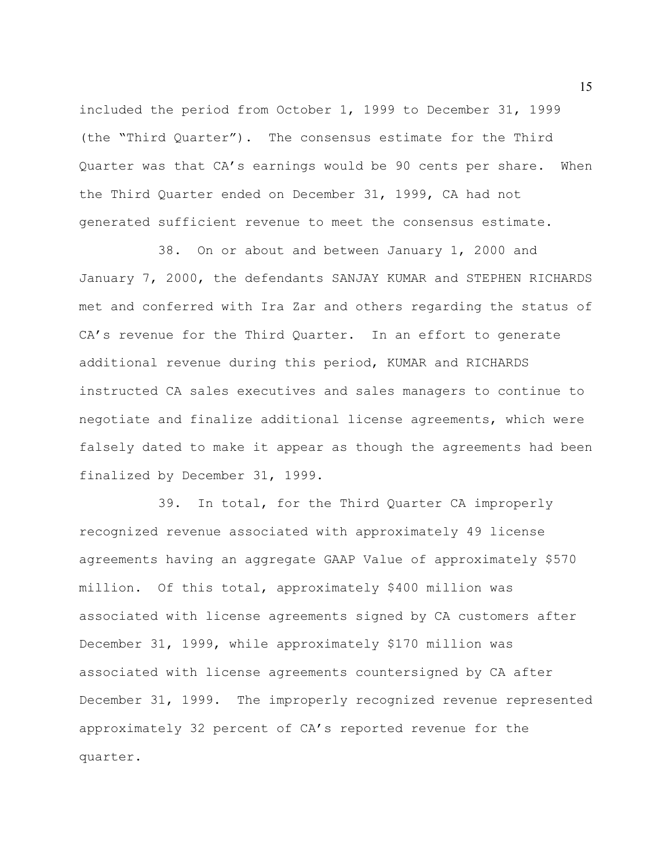included the period from October 1, 1999 to December 31, 1999 (the "Third Quarter"). The consensus estimate for the Third Quarter was that CA's earnings would be 90 cents per share. When the Third Quarter ended on December 31, 1999, CA had not generated sufficient revenue to meet the consensus estimate.

38. On or about and between January 1, 2000 and January 7, 2000, the defendants SANJAY KUMAR and STEPHEN RICHARDS met and conferred with Ira Zar and others regarding the status of CA's revenue for the Third Quarter. In an effort to generate additional revenue during this period, KUMAR and RICHARDS instructed CA sales executives and sales managers to continue to negotiate and finalize additional license agreements, which were falsely dated to make it appear as though the agreements had been finalized by December 31, 1999.

39. In total, for the Third Quarter CA improperly recognized revenue associated with approximately 49 license agreements having an aggregate GAAP Value of approximately \$570 million. Of this total, approximately \$400 million was associated with license agreements signed by CA customers after December 31, 1999, while approximately \$170 million was associated with license agreements countersigned by CA after December 31, 1999. The improperly recognized revenue represented approximately 32 percent of CA's reported revenue for the quarter.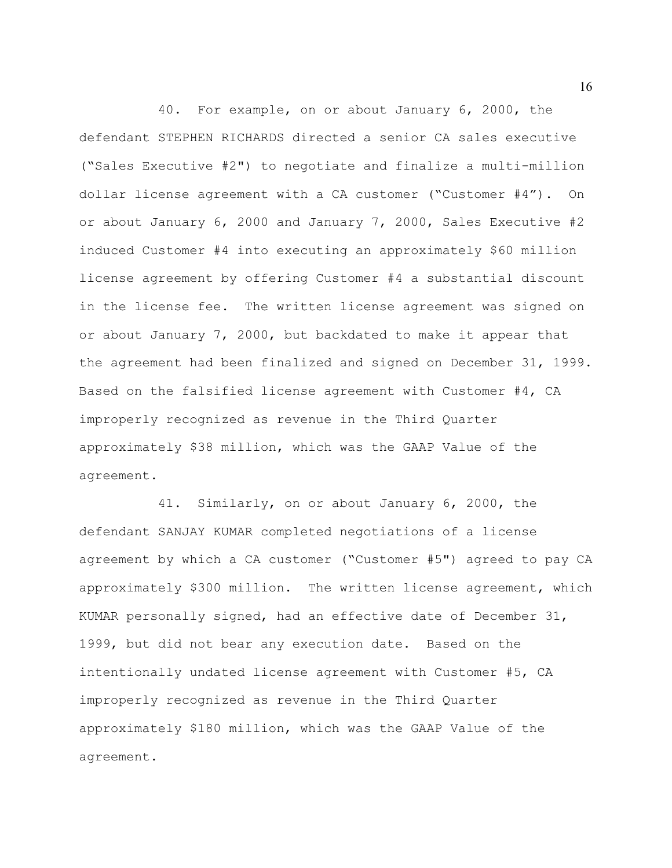40. For example, on or about January 6, 2000, the defendant STEPHEN RICHARDS directed a senior CA sales executive ("Sales Executive #2") to negotiate and finalize a multi-million dollar license agreement with a CA customer ("Customer #4"). On or about January 6, 2000 and January 7, 2000, Sales Executive #2 induced Customer #4 into executing an approximately \$60 million license agreement by offering Customer #4 a substantial discount in the license fee. The written license agreement was signed on or about January 7, 2000, but backdated to make it appear that the agreement had been finalized and signed on December 31, 1999. Based on the falsified license agreement with Customer #4, CA improperly recognized as revenue in the Third Quarter approximately \$38 million, which was the GAAP Value of the agreement.

41. Similarly, on or about January 6, 2000, the defendant SANJAY KUMAR completed negotiations of a license agreement by which a CA customer ("Customer #5") agreed to pay CA approximately \$300 million. The written license agreement, which KUMAR personally signed, had an effective date of December 31, 1999, but did not bear any execution date. Based on the intentionally undated license agreement with Customer #5, CA improperly recognized as revenue in the Third Quarter approximately \$180 million, which was the GAAP Value of the agreement.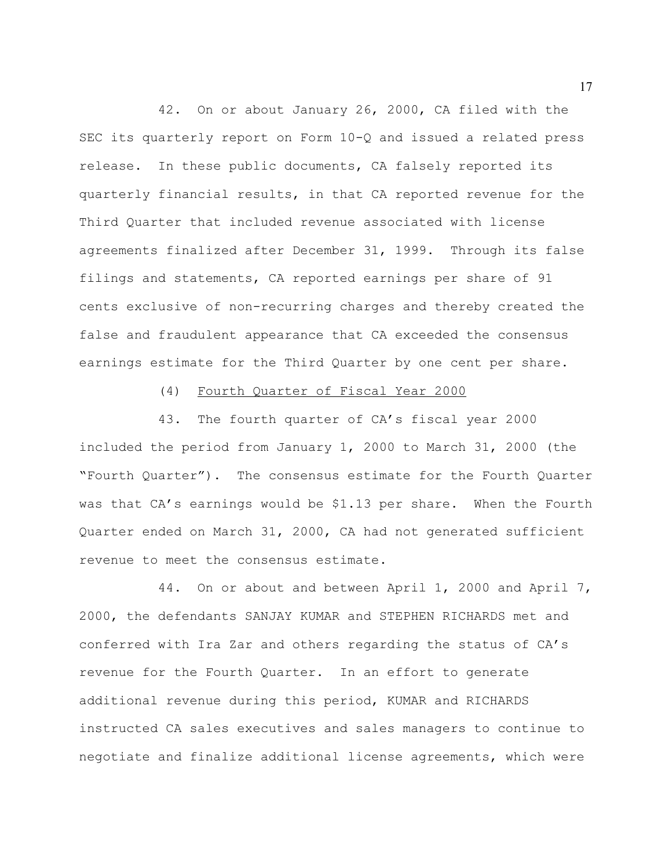42. On or about January 26, 2000, CA filed with the SEC its quarterly report on Form 10-Q and issued a related press release. In these public documents, CA falsely reported its quarterly financial results, in that CA reported revenue for the Third Quarter that included revenue associated with license agreements finalized after December 31, 1999. Through its false filings and statements, CA reported earnings per share of 91 cents exclusive of non-recurring charges and thereby created the false and fraudulent appearance that CA exceeded the consensus earnings estimate for the Third Quarter by one cent per share.

### (4) Fourth Quarter of Fiscal Year 2000

43. The fourth quarter of CA's fiscal year 2000 included the period from January 1, 2000 to March 31, 2000 (the "Fourth Quarter"). The consensus estimate for the Fourth Quarter was that CA's earnings would be \$1.13 per share. When the Fourth Quarter ended on March 31, 2000, CA had not generated sufficient revenue to meet the consensus estimate.

44. On or about and between April 1, 2000 and April 7, 2000, the defendants SANJAY KUMAR and STEPHEN RICHARDS met and conferred with Ira Zar and others regarding the status of CA's revenue for the Fourth Quarter. In an effort to generate additional revenue during this period, KUMAR and RICHARDS instructed CA sales executives and sales managers to continue to negotiate and finalize additional license agreements, which were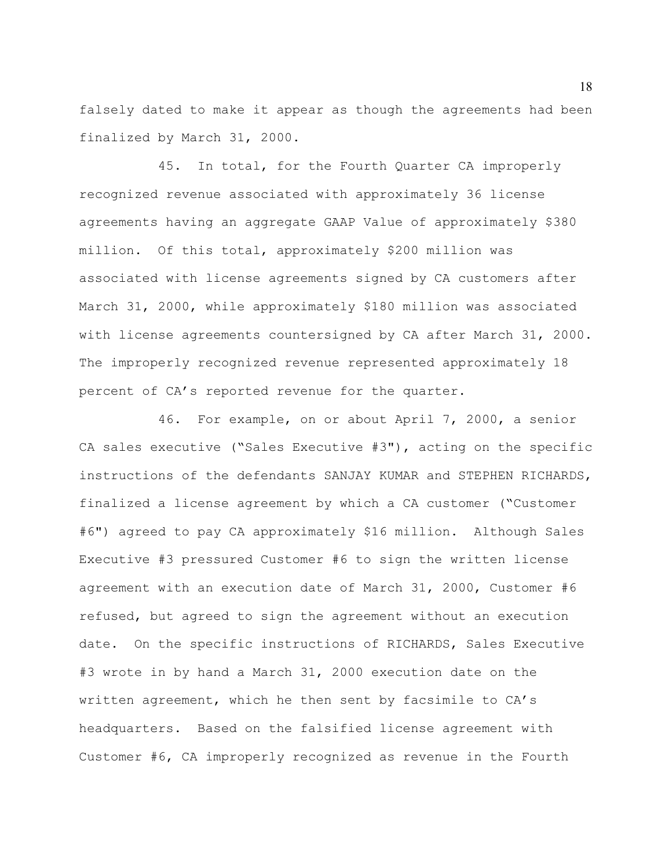falsely dated to make it appear as though the agreements had been finalized by March 31, 2000.

45. In total, for the Fourth Quarter CA improperly recognized revenue associated with approximately 36 license agreements having an aggregate GAAP Value of approximately \$380 million. Of this total, approximately \$200 million was associated with license agreements signed by CA customers after March 31, 2000, while approximately \$180 million was associated with license agreements countersigned by CA after March 31, 2000. The improperly recognized revenue represented approximately 18 percent of CA's reported revenue for the quarter.

46. For example, on or about April 7, 2000, a senior CA sales executive ("Sales Executive #3"), acting on the specific instructions of the defendants SANJAY KUMAR and STEPHEN RICHARDS, finalized a license agreement by which a CA customer ("Customer #6") agreed to pay CA approximately \$16 million. Although Sales Executive #3 pressured Customer #6 to sign the written license agreement with an execution date of March 31, 2000, Customer #6 refused, but agreed to sign the agreement without an execution date. On the specific instructions of RICHARDS, Sales Executive #3 wrote in by hand a March 31, 2000 execution date on the written agreement, which he then sent by facsimile to CA's headquarters. Based on the falsified license agreement with Customer #6, CA improperly recognized as revenue in the Fourth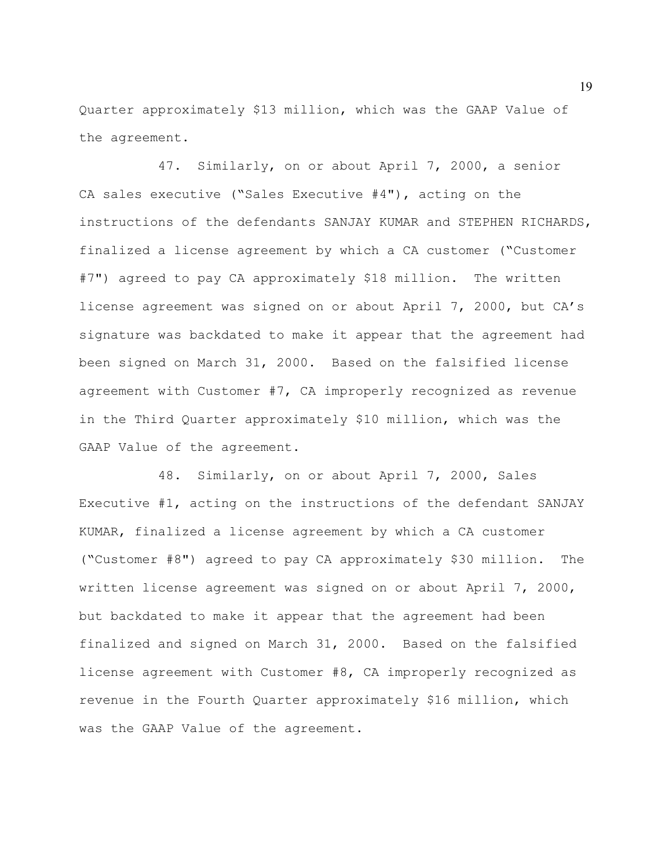Quarter approximately \$13 million, which was the GAAP Value of the agreement.

47. Similarly, on or about April 7, 2000, a senior CA sales executive ("Sales Executive #4"), acting on the instructions of the defendants SANJAY KUMAR and STEPHEN RICHARDS, finalized a license agreement by which a CA customer ("Customer #7") agreed to pay CA approximately \$18 million. The written license agreement was signed on or about April 7, 2000, but CA's signature was backdated to make it appear that the agreement had been signed on March 31, 2000. Based on the falsified license agreement with Customer #7, CA improperly recognized as revenue in the Third Quarter approximately \$10 million, which was the GAAP Value of the agreement.

48. Similarly, on or about April 7, 2000, Sales Executive #1, acting on the instructions of the defendant SANJAY KUMAR, finalized a license agreement by which a CA customer ("Customer #8") agreed to pay CA approximately \$30 million. The written license agreement was signed on or about April 7, 2000, but backdated to make it appear that the agreement had been finalized and signed on March 31, 2000. Based on the falsified license agreement with Customer #8, CA improperly recognized as revenue in the Fourth Quarter approximately \$16 million, which was the GAAP Value of the agreement.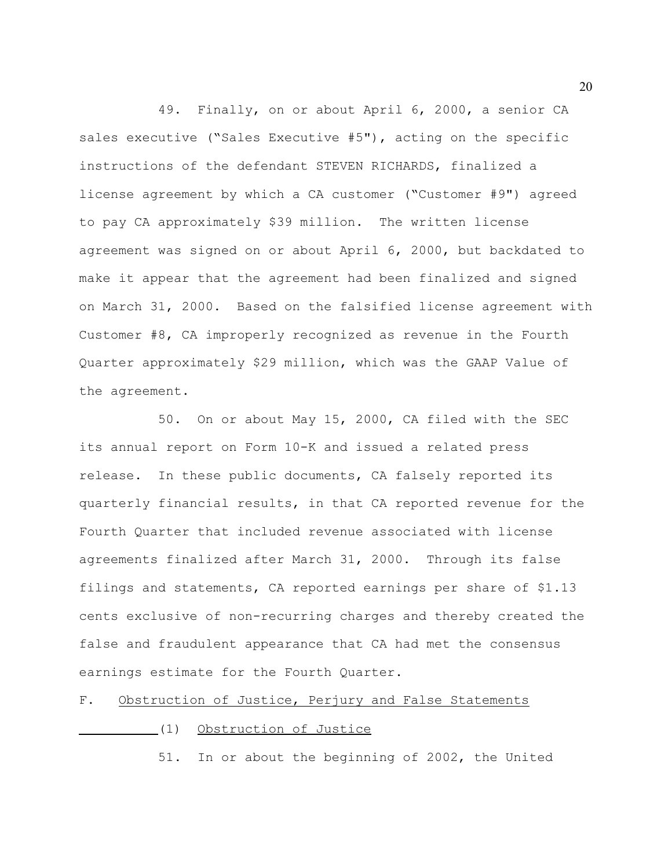49. Finally, on or about April 6, 2000, a senior CA sales executive ("Sales Executive #5"), acting on the specific instructions of the defendant STEVEN RICHARDS, finalized a license agreement by which a CA customer ("Customer #9") agreed to pay CA approximately \$39 million. The written license agreement was signed on or about April 6, 2000, but backdated to make it appear that the agreement had been finalized and signed on March 31, 2000. Based on the falsified license agreement with Customer #8, CA improperly recognized as revenue in the Fourth Quarter approximately \$29 million, which was the GAAP Value of the agreement.

50. On or about May 15, 2000, CA filed with the SEC its annual report on Form 10-K and issued a related press release. In these public documents, CA falsely reported its quarterly financial results, in that CA reported revenue for the Fourth Quarter that included revenue associated with license agreements finalized after March 31, 2000. Through its false filings and statements, CA reported earnings per share of \$1.13 cents exclusive of non-recurring charges and thereby created the false and fraudulent appearance that CA had met the consensus earnings estimate for the Fourth Quarter.

## F. Obstruction of Justice, Perjury and False Statements

# (1) Obstruction of Justice

51. In or about the beginning of 2002, the United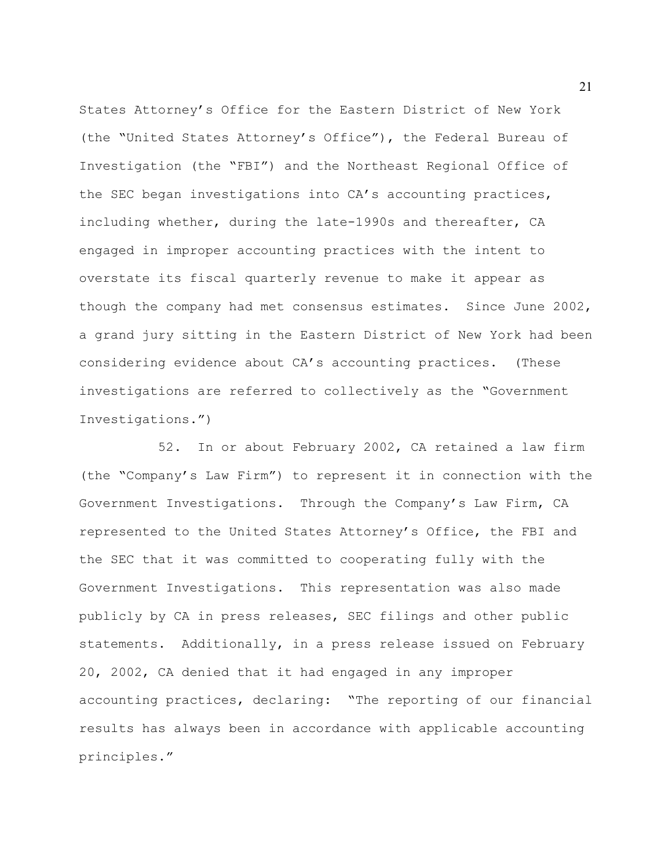States Attorney's Office for the Eastern District of New York (the "United States Attorney's Office"), the Federal Bureau of Investigation (the "FBI") and the Northeast Regional Office of the SEC began investigations into CA's accounting practices, including whether, during the late-1990s and thereafter, CA engaged in improper accounting practices with the intent to overstate its fiscal quarterly revenue to make it appear as though the company had met consensus estimates. Since June 2002, a grand jury sitting in the Eastern District of New York had been considering evidence about CA's accounting practices. (These investigations are referred to collectively as the "Government Investigations.")

52. In or about February 2002, CA retained a law firm (the "Company's Law Firm") to represent it in connection with the Government Investigations. Through the Company's Law Firm, CA represented to the United States Attorney's Office, the FBI and the SEC that it was committed to cooperating fully with the Government Investigations. This representation was also made publicly by CA in press releases, SEC filings and other public statements. Additionally, in a press release issued on February 20, 2002, CA denied that it had engaged in any improper accounting practices, declaring: "The reporting of our financial results has always been in accordance with applicable accounting principles."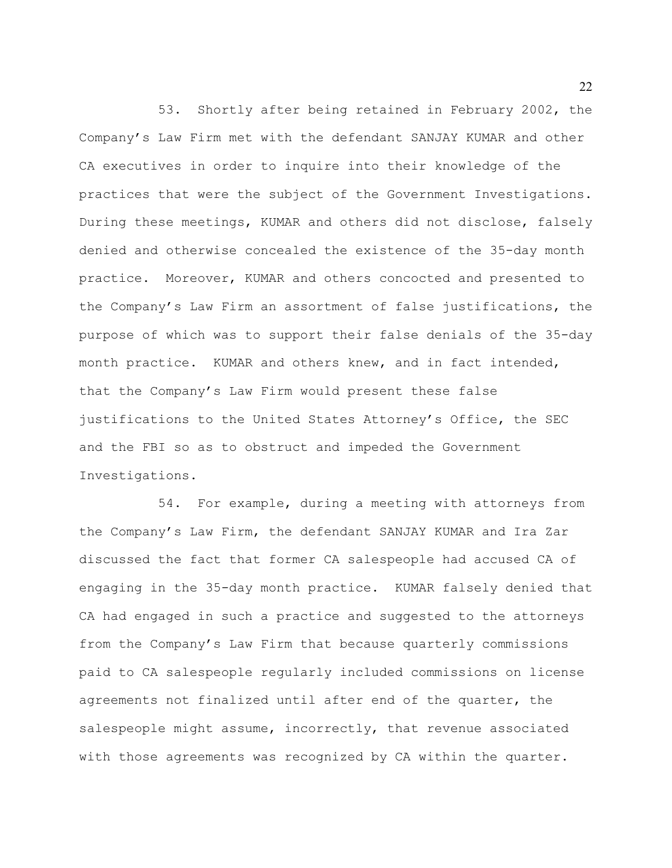53. Shortly after being retained in February 2002, the Company's Law Firm met with the defendant SANJAY KUMAR and other CA executives in order to inquire into their knowledge of the practices that were the subject of the Government Investigations. During these meetings, KUMAR and others did not disclose, falsely denied and otherwise concealed the existence of the 35-day month practice. Moreover, KUMAR and others concocted and presented to the Company's Law Firm an assortment of false justifications, the purpose of which was to support their false denials of the 35-day month practice. KUMAR and others knew, and in fact intended, that the Company's Law Firm would present these false justifications to the United States Attorney's Office, the SEC and the FBI so as to obstruct and impeded the Government Investigations.

54. For example, during a meeting with attorneys from the Company's Law Firm, the defendant SANJAY KUMAR and Ira Zar discussed the fact that former CA salespeople had accused CA of engaging in the 35-day month practice. KUMAR falsely denied that CA had engaged in such a practice and suggested to the attorneys from the Company's Law Firm that because quarterly commissions paid to CA salespeople regularly included commissions on license agreements not finalized until after end of the quarter, the salespeople might assume, incorrectly, that revenue associated with those agreements was recognized by CA within the quarter.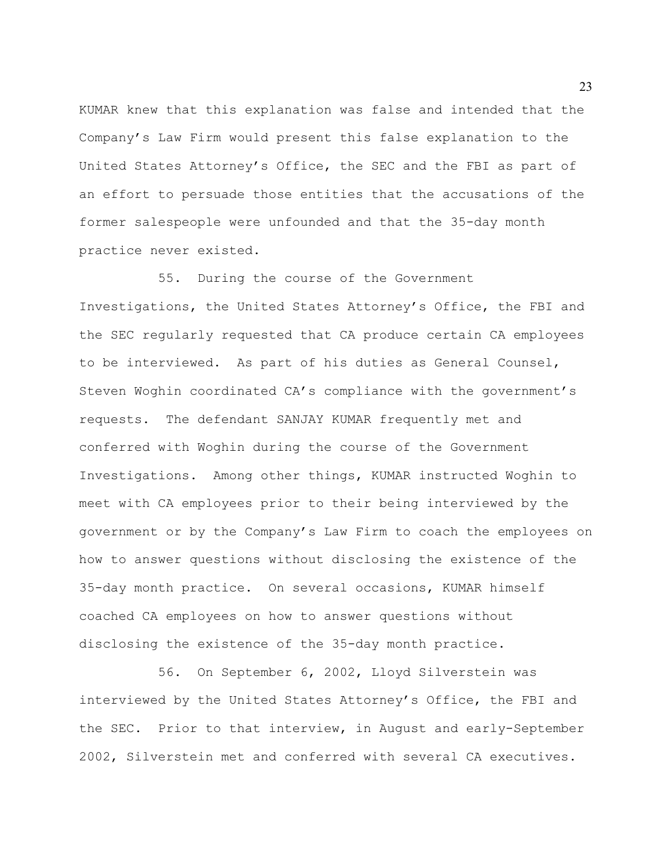KUMAR knew that this explanation was false and intended that the Company's Law Firm would present this false explanation to the United States Attorney's Office, the SEC and the FBI as part of an effort to persuade those entities that the accusations of the former salespeople were unfounded and that the 35-day month practice never existed.

55. During the course of the Government Investigations, the United States Attorney's Office, the FBI and the SEC regularly requested that CA produce certain CA employees to be interviewed. As part of his duties as General Counsel, Steven Woghin coordinated CA's compliance with the government's requests. The defendant SANJAY KUMAR frequently met and conferred with Woghin during the course of the Government Investigations. Among other things, KUMAR instructed Woghin to meet with CA employees prior to their being interviewed by the government or by the Company's Law Firm to coach the employees on how to answer questions without disclosing the existence of the 35-day month practice. On several occasions, KUMAR himself coached CA employees on how to answer questions without disclosing the existence of the 35-day month practice.

56. On September 6, 2002, Lloyd Silverstein was interviewed by the United States Attorney's Office, the FBI and the SEC. Prior to that interview, in August and early-September 2002, Silverstein met and conferred with several CA executives.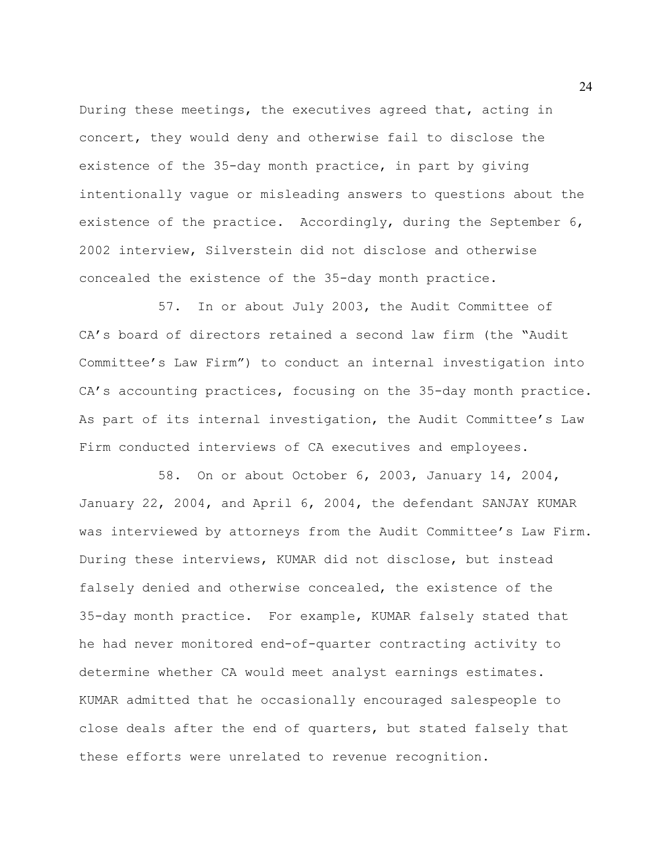During these meetings, the executives agreed that, acting in concert, they would deny and otherwise fail to disclose the existence of the 35-day month practice, in part by giving intentionally vague or misleading answers to questions about the existence of the practice. Accordingly, during the September 6, 2002 interview, Silverstein did not disclose and otherwise concealed the existence of the 35-day month practice.

57. In or about July 2003, the Audit Committee of CA's board of directors retained a second law firm (the "Audit Committee's Law Firm") to conduct an internal investigation into CA's accounting practices, focusing on the 35-day month practice. As part of its internal investigation, the Audit Committee's Law Firm conducted interviews of CA executives and employees.

58. On or about October 6, 2003, January 14, 2004, January 22, 2004, and April 6, 2004, the defendant SANJAY KUMAR was interviewed by attorneys from the Audit Committee's Law Firm. During these interviews, KUMAR did not disclose, but instead falsely denied and otherwise concealed, the existence of the 35-day month practice. For example, KUMAR falsely stated that he had never monitored end-of-quarter contracting activity to determine whether CA would meet analyst earnings estimates. KUMAR admitted that he occasionally encouraged salespeople to close deals after the end of quarters, but stated falsely that these efforts were unrelated to revenue recognition.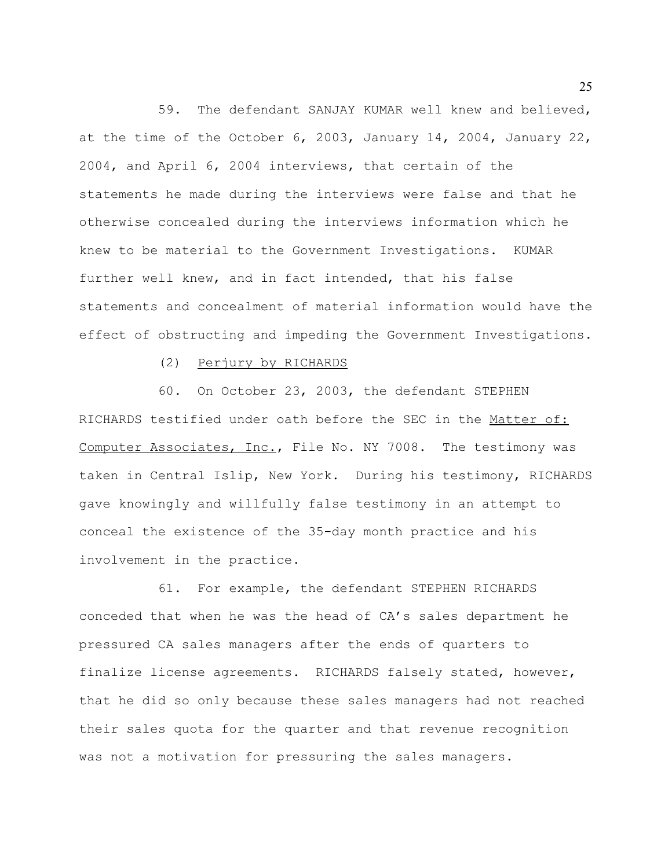59. The defendant SANJAY KUMAR well knew and believed, at the time of the October 6, 2003, January 14, 2004, January 22, 2004, and April 6, 2004 interviews, that certain of the statements he made during the interviews were false and that he otherwise concealed during the interviews information which he knew to be material to the Government Investigations. KUMAR further well knew, and in fact intended, that his false statements and concealment of material information would have the effect of obstructing and impeding the Government Investigations.

(2) Perjury by RICHARDS

60. On October 23, 2003, the defendant STEPHEN RICHARDS testified under oath before the SEC in the Matter of: Computer Associates, Inc., File No. NY 7008. The testimony was taken in Central Islip, New York. During his testimony, RICHARDS gave knowingly and willfully false testimony in an attempt to conceal the existence of the 35-day month practice and his involvement in the practice.

61. For example, the defendant STEPHEN RICHARDS conceded that when he was the head of CA's sales department he pressured CA sales managers after the ends of quarters to finalize license agreements. RICHARDS falsely stated, however, that he did so only because these sales managers had not reached their sales quota for the quarter and that revenue recognition was not a motivation for pressuring the sales managers.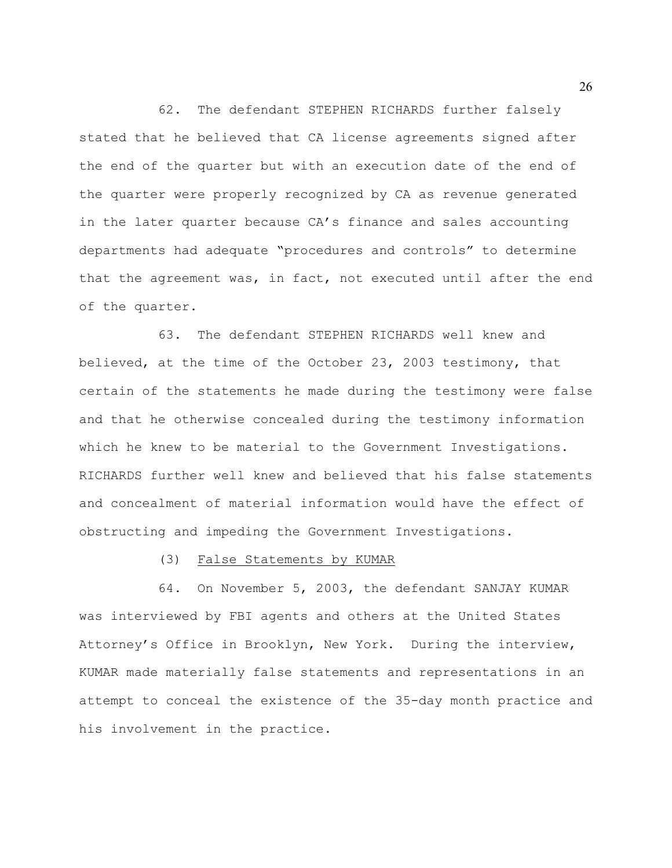62. The defendant STEPHEN RICHARDS further falsely stated that he believed that CA license agreements signed after the end of the quarter but with an execution date of the end of the quarter were properly recognized by CA as revenue generated in the later quarter because CA's finance and sales accounting departments had adequate "procedures and controls" to determine that the agreement was, in fact, not executed until after the end of the quarter.

63. The defendant STEPHEN RICHARDS well knew and believed, at the time of the October 23, 2003 testimony, that certain of the statements he made during the testimony were false and that he otherwise concealed during the testimony information which he knew to be material to the Government Investigations. RICHARDS further well knew and believed that his false statements and concealment of material information would have the effect of obstructing and impeding the Government Investigations.

## (3) False Statements by KUMAR

64. On November 5, 2003, the defendant SANJAY KUMAR was interviewed by FBI agents and others at the United States Attorney's Office in Brooklyn, New York. During the interview, KUMAR made materially false statements and representations in an attempt to conceal the existence of the 35-day month practice and his involvement in the practice.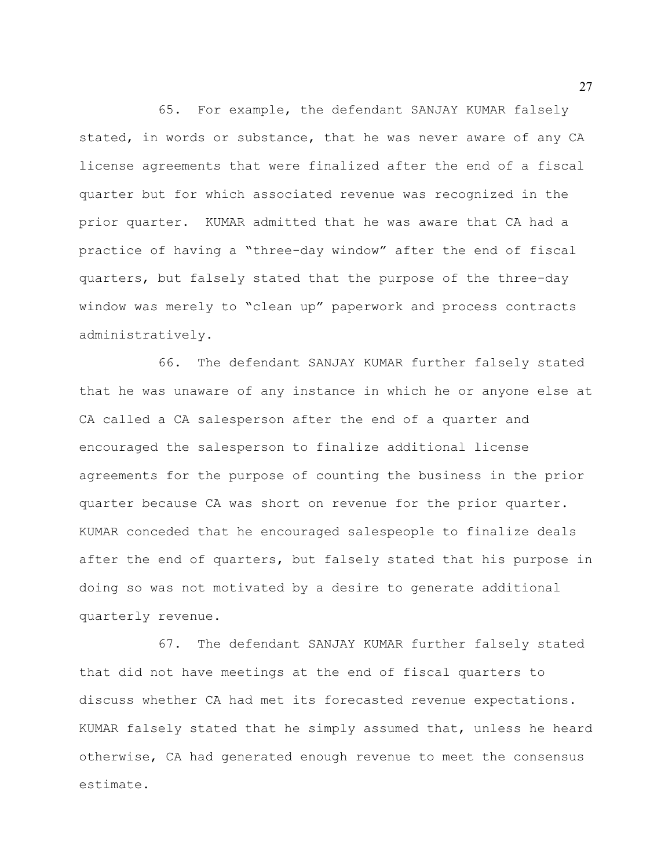65. For example, the defendant SANJAY KUMAR falsely stated, in words or substance, that he was never aware of any CA license agreements that were finalized after the end of a fiscal quarter but for which associated revenue was recognized in the prior quarter. KUMAR admitted that he was aware that CA had a practice of having a "three-day window" after the end of fiscal quarters, but falsely stated that the purpose of the three-day window was merely to "clean up" paperwork and process contracts administratively.

66. The defendant SANJAY KUMAR further falsely stated that he was unaware of any instance in which he or anyone else at CA called a CA salesperson after the end of a quarter and encouraged the salesperson to finalize additional license agreements for the purpose of counting the business in the prior quarter because CA was short on revenue for the prior quarter. KUMAR conceded that he encouraged salespeople to finalize deals after the end of quarters, but falsely stated that his purpose in doing so was not motivated by a desire to generate additional quarterly revenue.

67. The defendant SANJAY KUMAR further falsely stated that did not have meetings at the end of fiscal quarters to discuss whether CA had met its forecasted revenue expectations. KUMAR falsely stated that he simply assumed that, unless he heard otherwise, CA had generated enough revenue to meet the consensus estimate.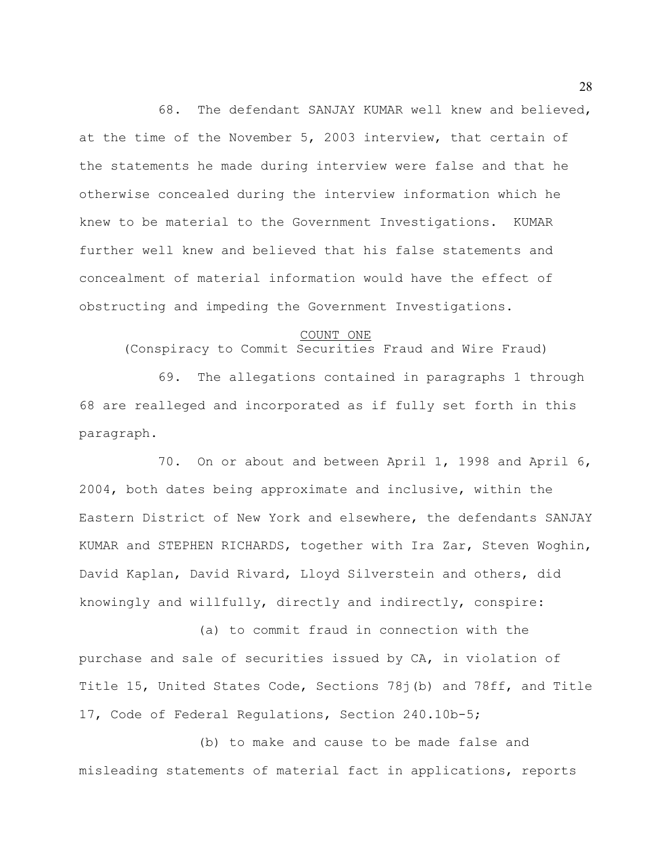68. The defendant SANJAY KUMAR well knew and believed, at the time of the November 5, 2003 interview, that certain of the statements he made during interview were false and that he otherwise concealed during the interview information which he knew to be material to the Government Investigations. KUMAR further well knew and believed that his false statements and concealment of material information would have the effect of obstructing and impeding the Government Investigations.

## COUNT ONE

(Conspiracy to Commit Securities Fraud and Wire Fraud)

69. The allegations contained in paragraphs 1 through 68 are realleged and incorporated as if fully set forth in this paragraph.

70. On or about and between April 1, 1998 and April 6, 2004, both dates being approximate and inclusive, within the Eastern District of New York and elsewhere, the defendants SANJAY KUMAR and STEPHEN RICHARDS, together with Ira Zar, Steven Woghin, David Kaplan, David Rivard, Lloyd Silverstein and others, did knowingly and willfully, directly and indirectly, conspire:

(a) to commit fraud in connection with the purchase and sale of securities issued by CA, in violation of Title 15, United States Code, Sections 78j(b) and 78ff, and Title 17, Code of Federal Regulations, Section 240.10b-5;

(b) to make and cause to be made false and misleading statements of material fact in applications, reports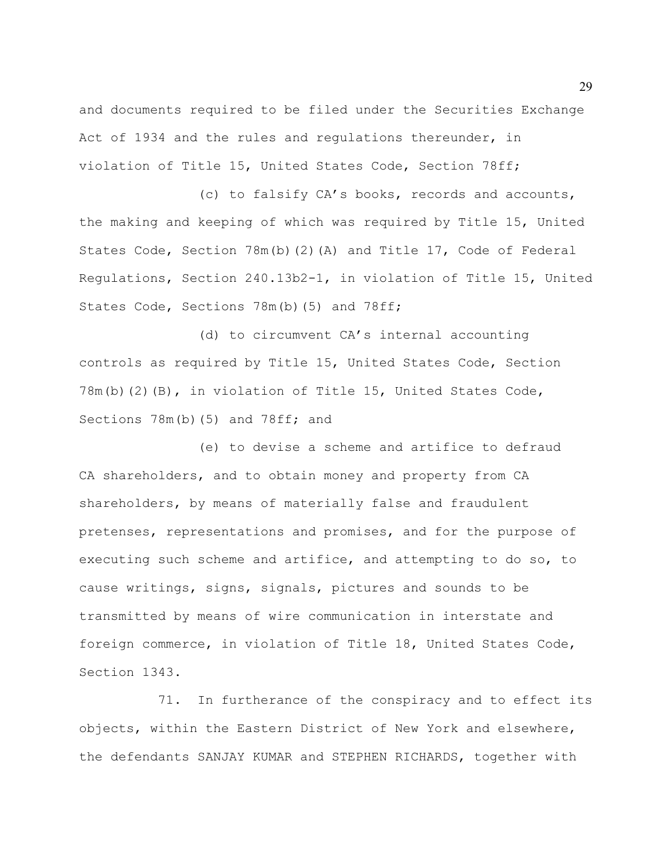and documents required to be filed under the Securities Exchange Act of 1934 and the rules and regulations thereunder, in violation of Title 15, United States Code, Section 78ff;

(c) to falsify CA's books, records and accounts, the making and keeping of which was required by Title 15, United States Code, Section 78m(b)(2)(A) and Title 17, Code of Federal Regulations, Section 240.13b2-1, in violation of Title 15, United States Code, Sections 78m(b)(5) and 78ff;

(d) to circumvent CA's internal accounting controls as required by Title 15, United States Code, Section 78m(b)(2)(B), in violation of Title 15, United States Code, Sections 78m(b)(5) and 78ff; and

(e) to devise a scheme and artifice to defraud CA shareholders, and to obtain money and property from CA shareholders, by means of materially false and fraudulent pretenses, representations and promises, and for the purpose of executing such scheme and artifice, and attempting to do so, to cause writings, signs, signals, pictures and sounds to be transmitted by means of wire communication in interstate and foreign commerce, in violation of Title 18, United States Code, Section 1343.

71. In furtherance of the conspiracy and to effect its objects, within the Eastern District of New York and elsewhere, the defendants SANJAY KUMAR and STEPHEN RICHARDS, together with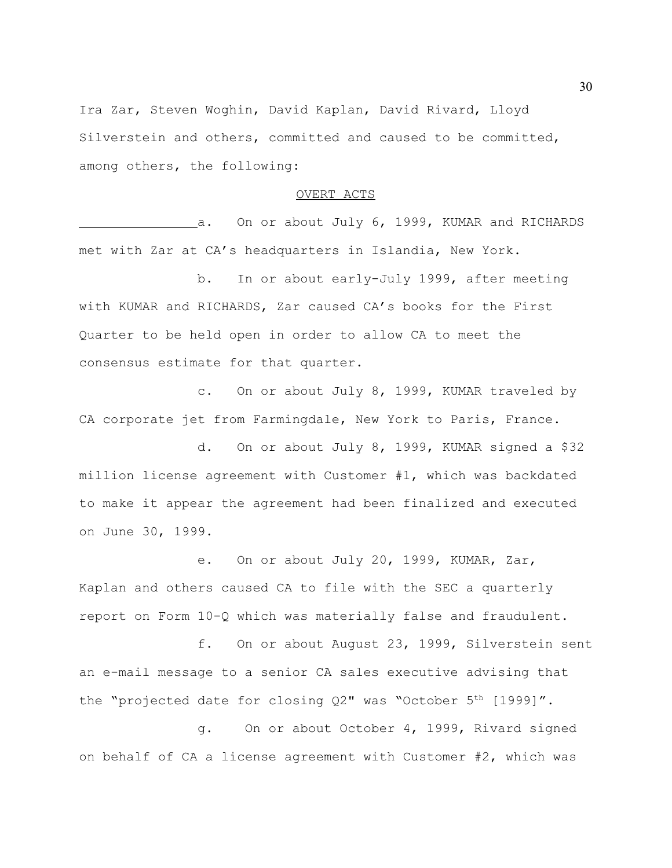Ira Zar, Steven Woghin, David Kaplan, David Rivard, Lloyd Silverstein and others, committed and caused to be committed, among others, the following:

#### OVERT ACTS

a. On or about July 6, 1999, KUMAR and RICHARDS met with Zar at CA's headquarters in Islandia, New York.

b. In or about early-July 1999, after meeting with KUMAR and RICHARDS, Zar caused CA's books for the First Quarter to be held open in order to allow CA to meet the consensus estimate for that quarter.

c. On or about July 8, 1999, KUMAR traveled by CA corporate jet from Farmingdale, New York to Paris, France.

d. On or about July 8, 1999, KUMAR signed a \$32 million license agreement with Customer #1, which was backdated to make it appear the agreement had been finalized and executed on June 30, 1999.

e. On or about July 20, 1999, KUMAR, Zar, Kaplan and others caused CA to file with the SEC a quarterly report on Form 10-Q which was materially false and fraudulent.

f. On or about August 23, 1999, Silverstein sent an e-mail message to a senior CA sales executive advising that the "projected date for closing Q2" was "October 5<sup>th</sup> [1999]".

g. On or about October 4, 1999, Rivard signed on behalf of CA a license agreement with Customer #2, which was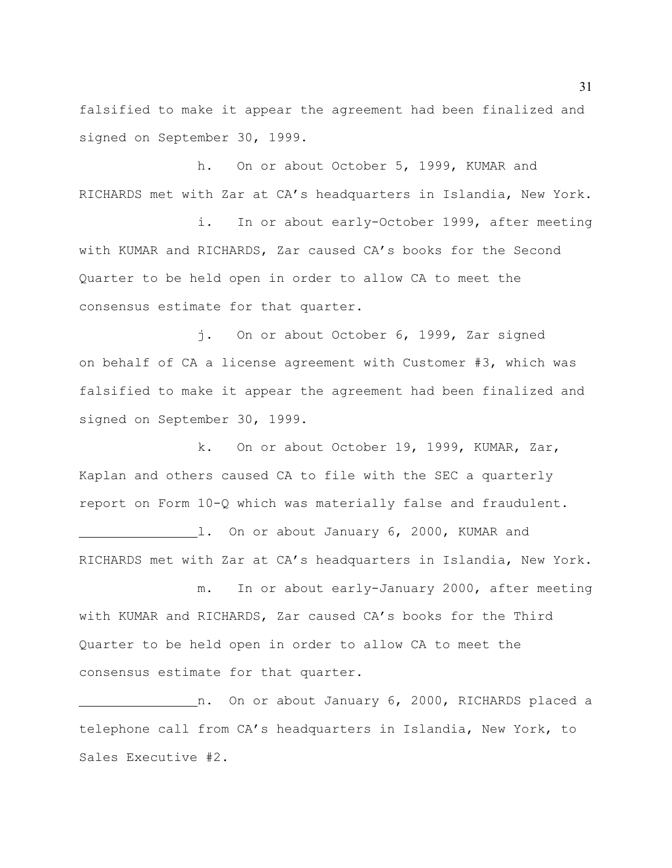falsified to make it appear the agreement had been finalized and signed on September 30, 1999.

h. On or about October 5, 1999, KUMAR and RICHARDS met with Zar at CA's headquarters in Islandia, New York.

i. In or about early-October 1999, after meeting with KUMAR and RICHARDS, Zar caused CA's books for the Second Quarter to be held open in order to allow CA to meet the consensus estimate for that quarter.

j. On or about October 6, 1999, Zar signed on behalf of CA a license agreement with Customer #3, which was falsified to make it appear the agreement had been finalized and signed on September 30, 1999.

k. On or about October 19, 1999, KUMAR, Zar, Kaplan and others caused CA to file with the SEC a quarterly report on Form 10-Q which was materially false and fraudulent. 1. On or about January 6, 2000, KUMAR and RICHARDS met with Zar at CA's headquarters in Islandia, New York.

m. In or about early-January 2000, after meeting with KUMAR and RICHARDS, Zar caused CA's books for the Third Quarter to be held open in order to allow CA to meet the consensus estimate for that quarter.

n. On or about January 6, 2000, RICHARDS placed a telephone call from CA's headquarters in Islandia, New York, to Sales Executive #2.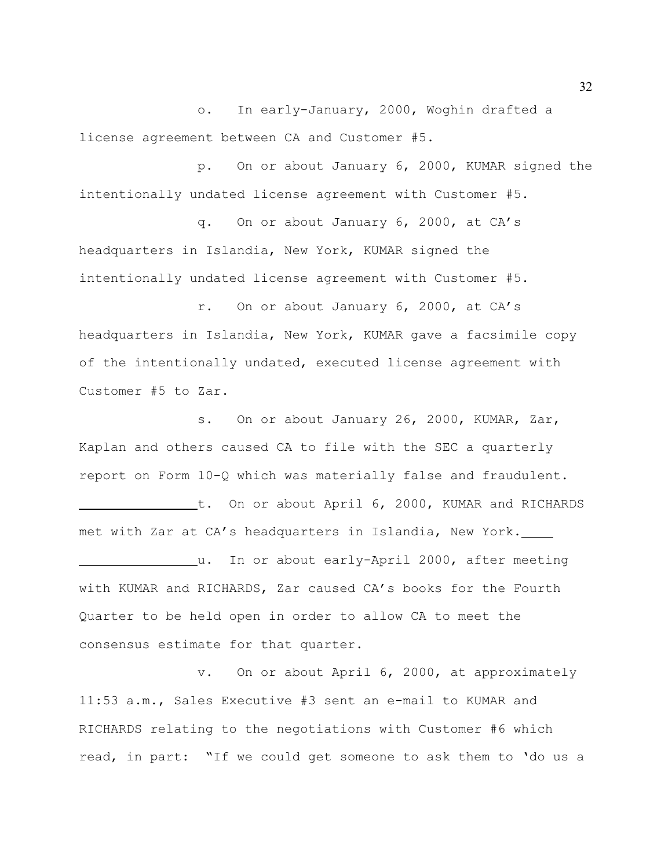o. In early-January, 2000, Woghin drafted a license agreement between CA and Customer #5.

p. On or about January 6, 2000, KUMAR signed the intentionally undated license agreement with Customer #5.

q. On or about January 6, 2000, at CA's headquarters in Islandia, New York, KUMAR signed the intentionally undated license agreement with Customer #5.

r. On or about January 6, 2000, at CA's headquarters in Islandia, New York, KUMAR gave a facsimile copy of the intentionally undated, executed license agreement with Customer #5 to Zar.

s. On or about January 26, 2000, KUMAR, Zar, Kaplan and others caused CA to file with the SEC a quarterly report on Form 10-Q which was materially false and fraudulent.

t. On or about April 6, 2000, KUMAR and RICHARDS met with Zar at CA's headquarters in Islandia, New York. u. In or about early-April 2000, after meeting with KUMAR and RICHARDS, Zar caused CA's books for the Fourth

Quarter to be held open in order to allow CA to meet the consensus estimate for that quarter.

v. On or about April 6, 2000, at approximately 11:53 a.m., Sales Executive #3 sent an e-mail to KUMAR and RICHARDS relating to the negotiations with Customer #6 which read, in part: "If we could get someone to ask them to 'do us a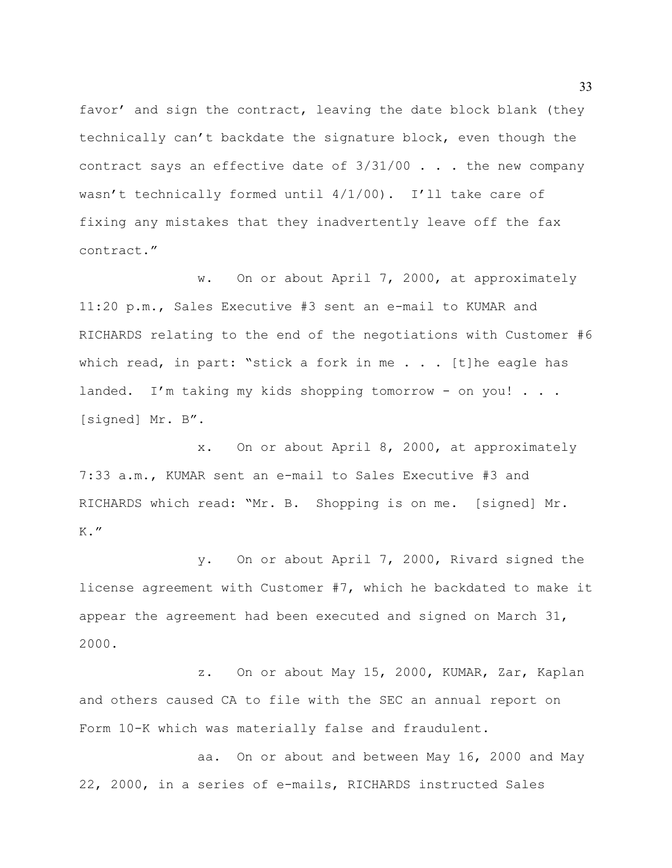favor' and sign the contract, leaving the date block blank (they technically can't backdate the signature block, even though the contract says an effective date of 3/31/00 . . . the new company wasn't technically formed until  $4/1/00$ ). I'll take care of fixing any mistakes that they inadvertently leave off the fax contract."

w. On or about April 7, 2000, at approximately 11:20 p.m., Sales Executive #3 sent an e-mail to KUMAR and RICHARDS relating to the end of the negotiations with Customer #6 which read, in part: "stick a fork in me . . . [t] he eagle has landed. I'm taking my kids shopping tomorrow - on you! . . . [signed] Mr. B".

x. On or about April 8, 2000, at approximately 7:33 a.m., KUMAR sent an e-mail to Sales Executive #3 and RICHARDS which read: "Mr. B. Shopping is on me. [signed] Mr.  $K.$ "

y. On or about April 7, 2000, Rivard signed the license agreement with Customer #7, which he backdated to make it appear the agreement had been executed and signed on March 31, 2000.

z. On or about May 15, 2000, KUMAR, Zar, Kaplan and others caused CA to file with the SEC an annual report on Form 10-K which was materially false and fraudulent.

aa. On or about and between May 16, 2000 and May 22, 2000, in a series of e-mails, RICHARDS instructed Sales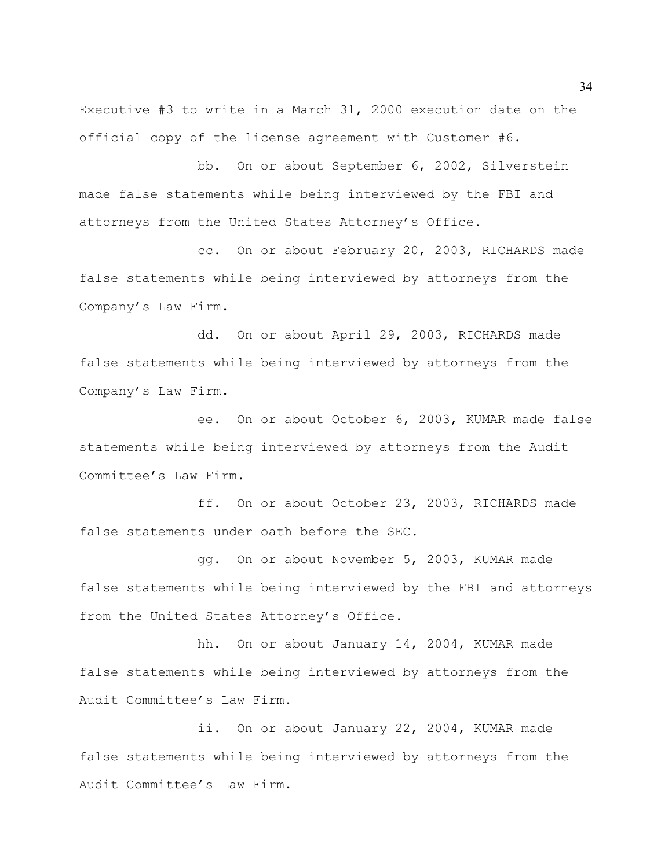Executive #3 to write in a March 31, 2000 execution date on the official copy of the license agreement with Customer #6.

bb. On or about September 6, 2002, Silverstein made false statements while being interviewed by the FBI and attorneys from the United States Attorney's Office.

cc. On or about February 20, 2003, RICHARDS made false statements while being interviewed by attorneys from the Company's Law Firm.

dd. On or about April 29, 2003, RICHARDS made false statements while being interviewed by attorneys from the Company's Law Firm.

ee. On or about October 6, 2003, KUMAR made false statements while being interviewed by attorneys from the Audit Committee's Law Firm.

ff. On or about October 23, 2003, RICHARDS made false statements under oath before the SEC.

gg. On or about November 5, 2003, KUMAR made false statements while being interviewed by the FBI and attorneys from the United States Attorney's Office.

hh. On or about January 14, 2004, KUMAR made false statements while being interviewed by attorneys from the Audit Committee's Law Firm.

ii. On or about January 22, 2004, KUMAR made false statements while being interviewed by attorneys from the Audit Committee's Law Firm.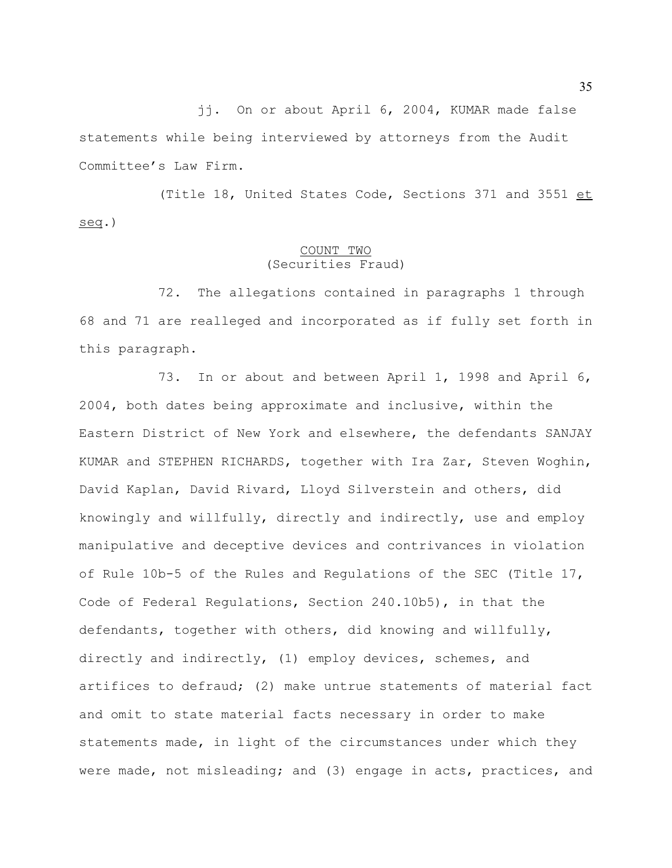jj. On or about April 6, 2004, KUMAR made false statements while being interviewed by attorneys from the Audit Committee's Law Firm.

(Title 18, United States Code, Sections 371 and 3551 et seq.)

# COUNT TWO (Securities Fraud)

72. The allegations contained in paragraphs 1 through 68 and 71 are realleged and incorporated as if fully set forth in this paragraph.

73. In or about and between April 1, 1998 and April 6, 2004, both dates being approximate and inclusive, within the Eastern District of New York and elsewhere, the defendants SANJAY KUMAR and STEPHEN RICHARDS, together with Ira Zar, Steven Woghin, David Kaplan, David Rivard, Lloyd Silverstein and others, did knowingly and willfully, directly and indirectly, use and employ manipulative and deceptive devices and contrivances in violation of Rule 10b-5 of the Rules and Regulations of the SEC (Title 17, Code of Federal Regulations, Section 240.10b5), in that the defendants, together with others, did knowing and willfully, directly and indirectly, (1) employ devices, schemes, and artifices to defraud; (2) make untrue statements of material fact and omit to state material facts necessary in order to make statements made, in light of the circumstances under which they were made, not misleading; and (3) engage in acts, practices, and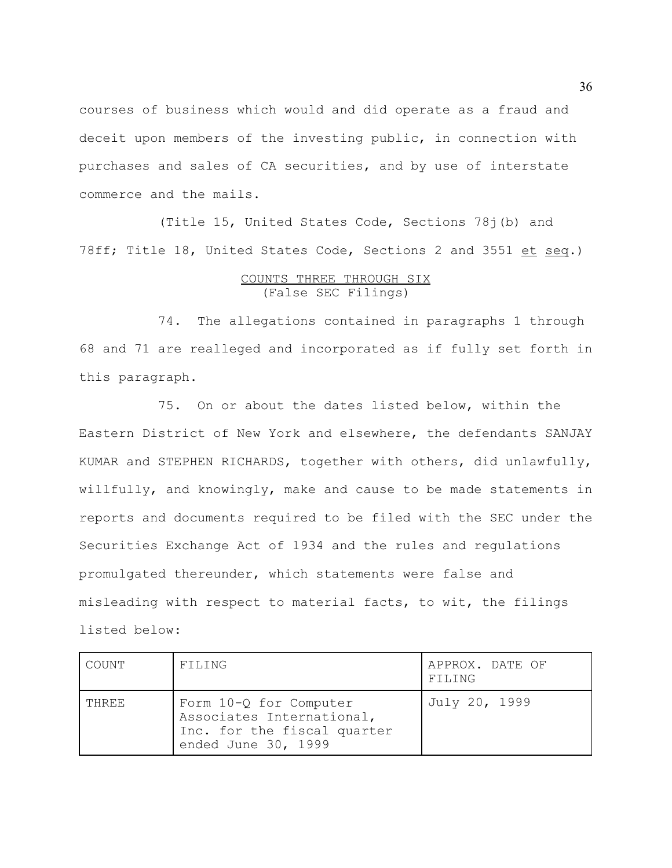courses of business which would and did operate as a fraud and deceit upon members of the investing public, in connection with purchases and sales of CA securities, and by use of interstate commerce and the mails.

(Title 15, United States Code, Sections 78j(b) and 78ff; Title 18, United States Code, Sections 2 and 3551 et seq.)

# COUNTS THREE THROUGH SIX (False SEC Filings)

74. The allegations contained in paragraphs 1 through 68 and 71 are realleged and incorporated as if fully set forth in this paragraph.

75. On or about the dates listed below, within the Eastern District of New York and elsewhere, the defendants SANJAY KUMAR and STEPHEN RICHARDS, together with others, did unlawfully, willfully, and knowingly, make and cause to be made statements in reports and documents required to be filed with the SEC under the Securities Exchange Act of 1934 and the rules and regulations promulgated thereunder, which statements were false and misleading with respect to material facts, to wit, the filings listed below:

| COUNT | FILING                                                                                                    | APPROX. DATE OF<br>FILING |
|-------|-----------------------------------------------------------------------------------------------------------|---------------------------|
| THREE | Form 10-Q for Computer<br>Associates International,<br>Inc. for the fiscal quarter<br>ended June 30, 1999 | July 20, 1999             |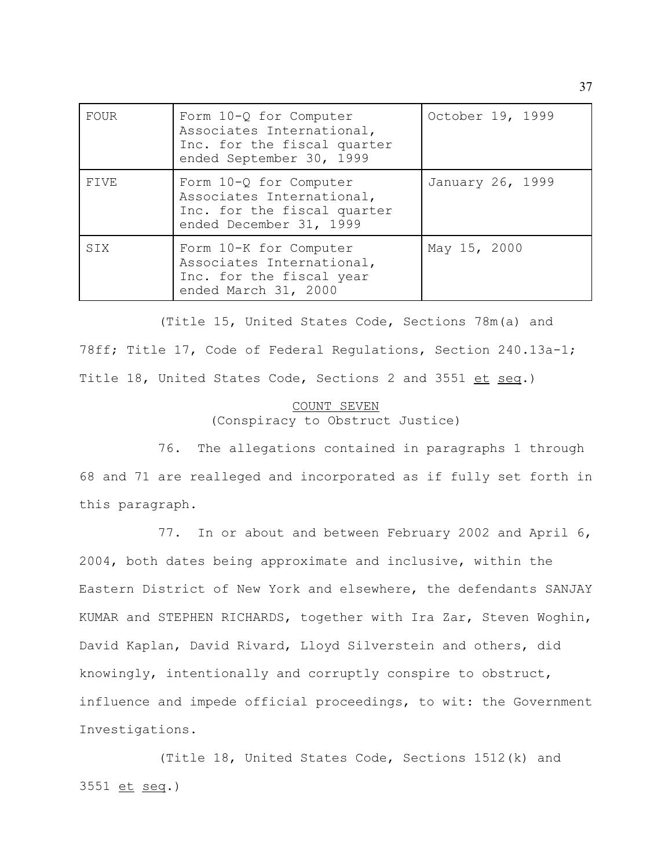| FOUR  | Form 10-Q for Computer<br>Associates International,<br>Inc. for the fiscal quarter<br>ended September 30, 1999 | October 19, 1999 |
|-------|----------------------------------------------------------------------------------------------------------------|------------------|
| FTVF. | Form 10-Q for Computer<br>Associates International,<br>Inc. for the fiscal quarter<br>ended December 31, 1999  | January 26, 1999 |
| STX   | Form 10-K for Computer<br>Associates International,<br>Inc. for the fiscal year<br>ended March 31, 2000        | May 15, 2000     |

(Title 15, United States Code, Sections 78m(a) and 78ff; Title 17, Code of Federal Regulations, Section 240.13a-1; Title 18, United States Code, Sections 2 and 3551 et seq.)

## COUNT SEVEN (Conspiracy to Obstruct Justice)

76. The allegations contained in paragraphs 1 through 68 and 71 are realleged and incorporated as if fully set forth in this paragraph.

77. In or about and between February 2002 and April 6, 2004, both dates being approximate and inclusive, within the Eastern District of New York and elsewhere, the defendants SANJAY KUMAR and STEPHEN RICHARDS, together with Ira Zar, Steven Woghin, David Kaplan, David Rivard, Lloyd Silverstein and others, did knowingly, intentionally and corruptly conspire to obstruct, influence and impede official proceedings, to wit: the Government Investigations.

(Title 18, United States Code, Sections 1512(k) and 3551 et seq.)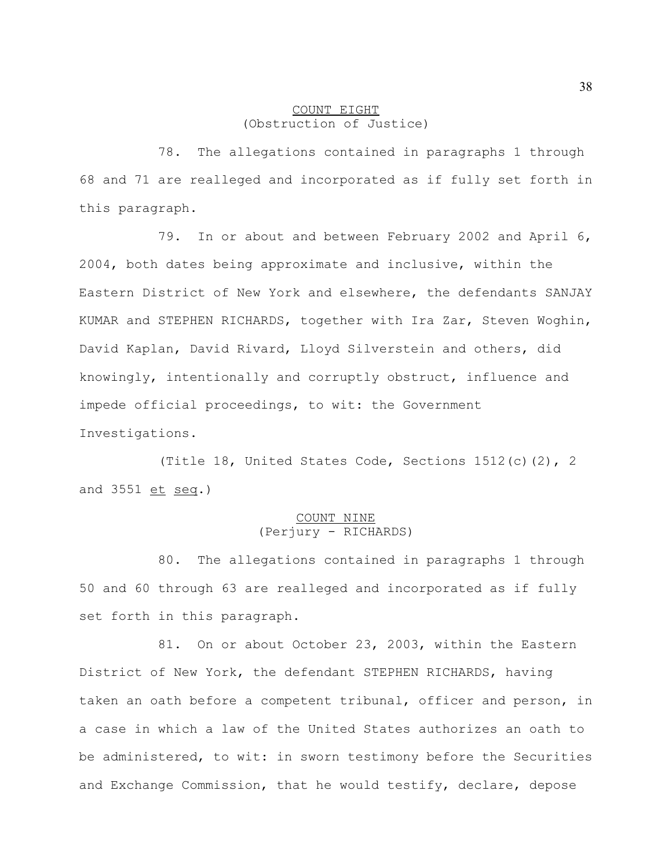## COUNT EIGHT (Obstruction of Justice)

78. The allegations contained in paragraphs 1 through 68 and 71 are realleged and incorporated as if fully set forth in this paragraph.

79. In or about and between February 2002 and April 6, 2004, both dates being approximate and inclusive, within the Eastern District of New York and elsewhere, the defendants SANJAY KUMAR and STEPHEN RICHARDS, together with Ira Zar, Steven Woghin, David Kaplan, David Rivard, Lloyd Silverstein and others, did knowingly, intentionally and corruptly obstruct, influence and impede official proceedings, to wit: the Government Investigations.

(Title 18, United States Code, Sections 1512(c)(2), 2 and 3551 et seq.)

# COUNT NINE (Perjury - RICHARDS)

80. The allegations contained in paragraphs 1 through 50 and 60 through 63 are realleged and incorporated as if fully set forth in this paragraph.

81. On or about October 23, 2003, within the Eastern District of New York, the defendant STEPHEN RICHARDS, having taken an oath before a competent tribunal, officer and person, in a case in which a law of the United States authorizes an oath to be administered, to wit: in sworn testimony before the Securities and Exchange Commission, that he would testify, declare, depose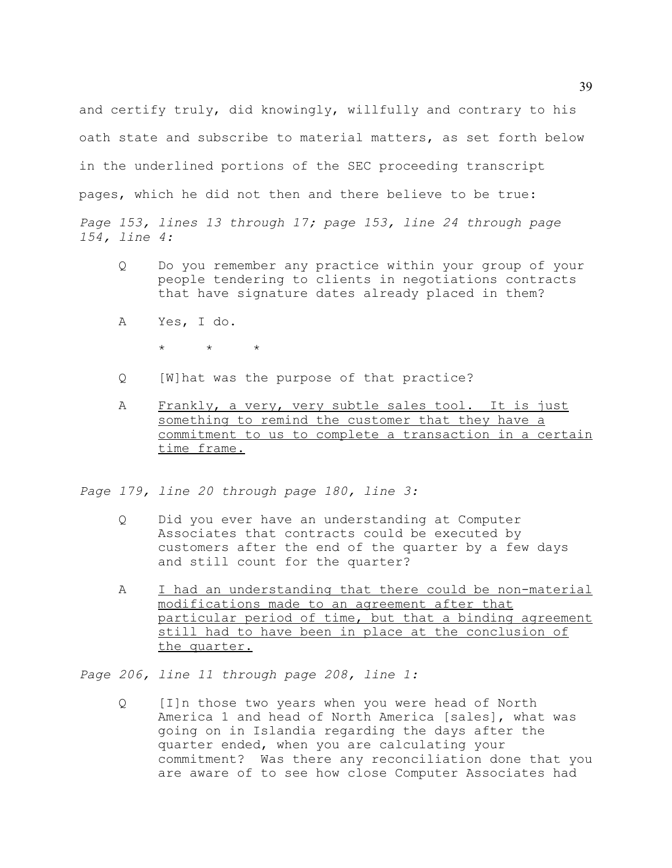and certify truly, did knowingly, willfully and contrary to his oath state and subscribe to material matters, as set forth below in the underlined portions of the SEC proceeding transcript pages, which he did not then and there believe to be true: *Page 153, lines 13 through 17; page 153, line 24 through page 154, line 4:*

- Q Do you remember any practice within your group of your people tendering to clients in negotiations contracts that have signature dates already placed in them?
- A Yes, I do.
	- $\star$   $\star$   $\star$
- Q [W]hat was the purpose of that practice?
- A Frankly, a very, very subtle sales tool. It is just something to remind the customer that they have a commitment to us to complete a transaction in a certain time frame.

*Page 179, line 20 through page 180, line 3:*

- Q Did you ever have an understanding at Computer Associates that contracts could be executed by customers after the end of the quarter by a few days and still count for the quarter?
- A I had an understanding that there could be non-material modifications made to an agreement after that particular period of time, but that a binding agreement still had to have been in place at the conclusion of the quarter.

*Page 206, line 11 through page 208, line 1:*

Q [I]n those two years when you were head of North America 1 and head of North America [sales], what was going on in Islandia regarding the days after the quarter ended, when you are calculating your commitment? Was there any reconciliation done that you are aware of to see how close Computer Associates had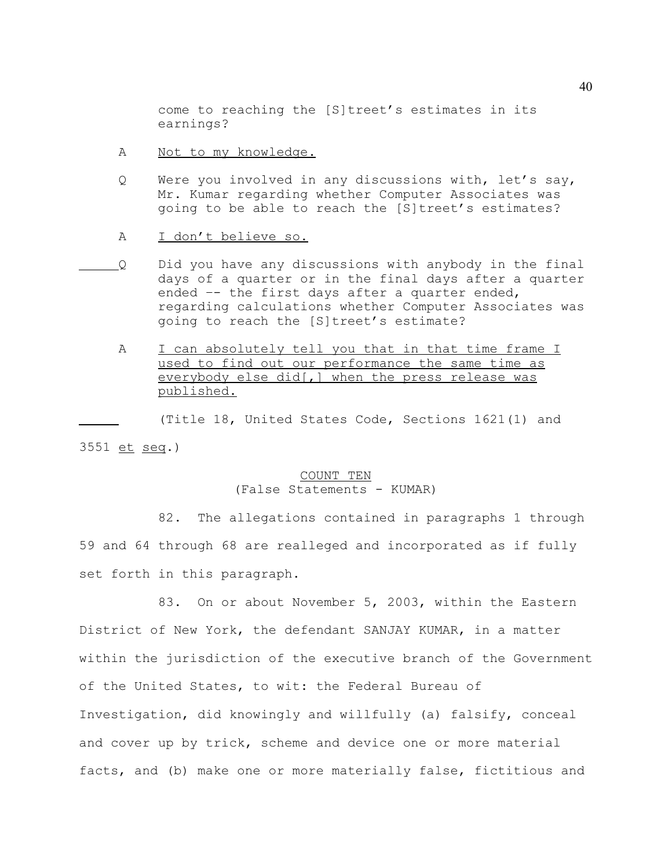come to reaching the [S]treet's estimates in its earnings?

- A Not to my knowledge.
- Q Were you involved in any discussions with, let's say, Mr. Kumar regarding whether Computer Associates was going to be able to reach the [S]treet's estimates?
- A I don't believe so.
- Q Did you have any discussions with anybody in the final days of a quarter or in the final days after a quarter ended –- the first days after a quarter ended, regarding calculations whether Computer Associates was going to reach the [S]treet's estimate?
	- A I can absolutely tell you that in that time frame I used to find out our performance the same time as everybody else did[,] when the press release was published.

(Title 18, United States Code, Sections 1621(1) and 3551 et seq.)

# COUNT TEN

## (False Statements - KUMAR)

82. The allegations contained in paragraphs 1 through 59 and 64 through 68 are realleged and incorporated as if fully set forth in this paragraph.

83. On or about November 5, 2003, within the Eastern District of New York, the defendant SANJAY KUMAR, in a matter within the jurisdiction of the executive branch of the Government of the United States, to wit: the Federal Bureau of Investigation, did knowingly and willfully (a) falsify, conceal and cover up by trick, scheme and device one or more material facts, and (b) make one or more materially false, fictitious and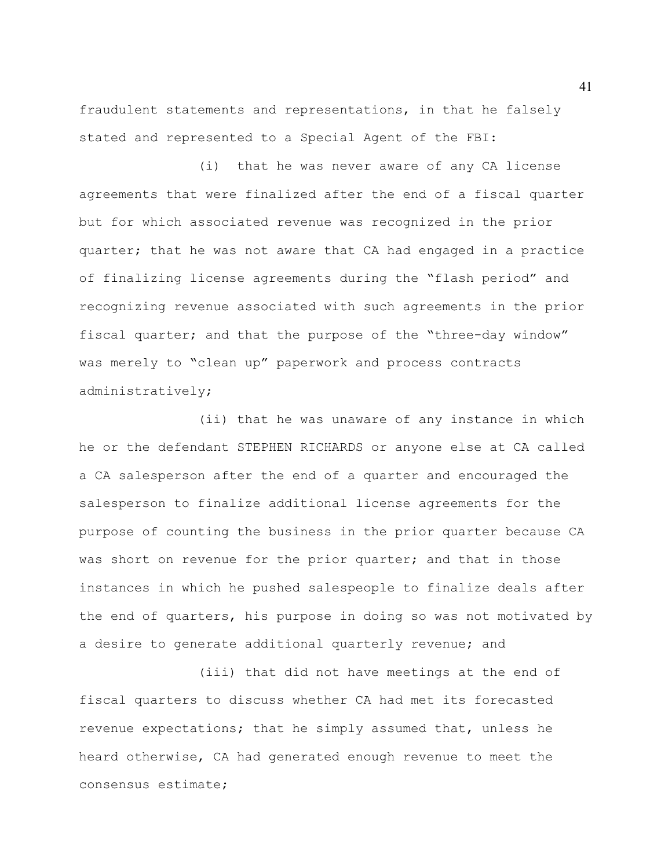fraudulent statements and representations, in that he falsely stated and represented to a Special Agent of the FBI:

(i) that he was never aware of any CA license agreements that were finalized after the end of a fiscal quarter but for which associated revenue was recognized in the prior quarter; that he was not aware that CA had engaged in a practice of finalizing license agreements during the "flash period" and recognizing revenue associated with such agreements in the prior fiscal quarter; and that the purpose of the "three-day window" was merely to "clean up" paperwork and process contracts administratively;

(ii) that he was unaware of any instance in which he or the defendant STEPHEN RICHARDS or anyone else at CA called a CA salesperson after the end of a quarter and encouraged the salesperson to finalize additional license agreements for the purpose of counting the business in the prior quarter because CA was short on revenue for the prior quarter; and that in those instances in which he pushed salespeople to finalize deals after the end of quarters, his purpose in doing so was not motivated by a desire to generate additional quarterly revenue; and

(iii) that did not have meetings at the end of fiscal quarters to discuss whether CA had met its forecasted revenue expectations; that he simply assumed that, unless he heard otherwise, CA had generated enough revenue to meet the consensus estimate;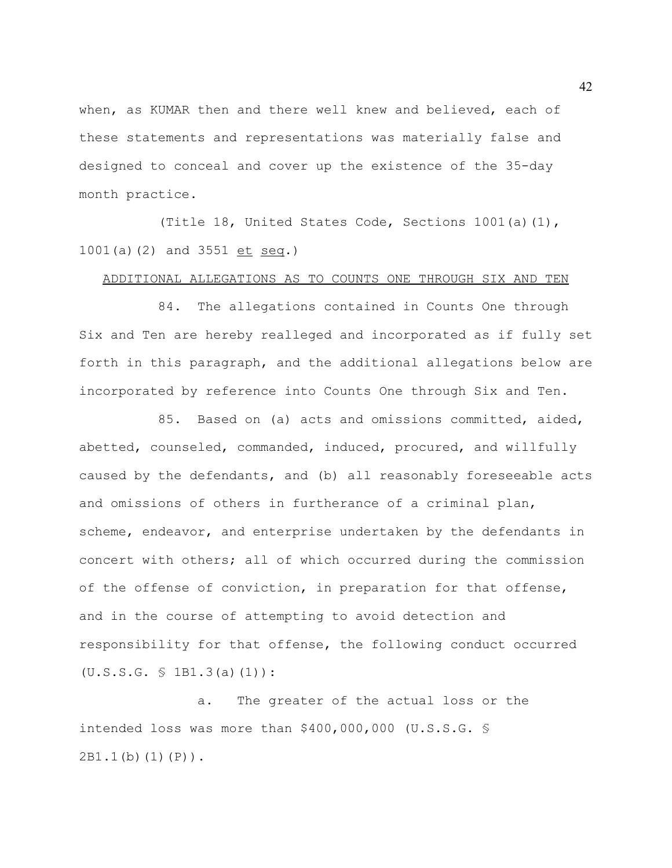when, as KUMAR then and there well knew and believed, each of these statements and representations was materially false and designed to conceal and cover up the existence of the 35-day month practice.

(Title 18, United States Code, Sections 1001(a)(1), 1001(a)(2) and 3551 et seq.)

## ADDITIONAL ALLEGATIONS AS TO COUNTS ONE THROUGH SIX AND TEN

84. The allegations contained in Counts One through Six and Ten are hereby realleged and incorporated as if fully set forth in this paragraph, and the additional allegations below are incorporated by reference into Counts One through Six and Ten.

85. Based on (a) acts and omissions committed, aided, abetted, counseled, commanded, induced, procured, and willfully caused by the defendants, and (b) all reasonably foreseeable acts and omissions of others in furtherance of a criminal plan, scheme, endeavor, and enterprise undertaken by the defendants in concert with others; all of which occurred during the commission of the offense of conviction, in preparation for that offense, and in the course of attempting to avoid detection and responsibility for that offense, the following conduct occurred  $(U.S.S.G. \S 1B1.3(a)(1))$ :

a. The greater of the actual loss or the intended loss was more than \$400,000,000 (U.S.S.G. § 2B1.1(b)(1)(P)).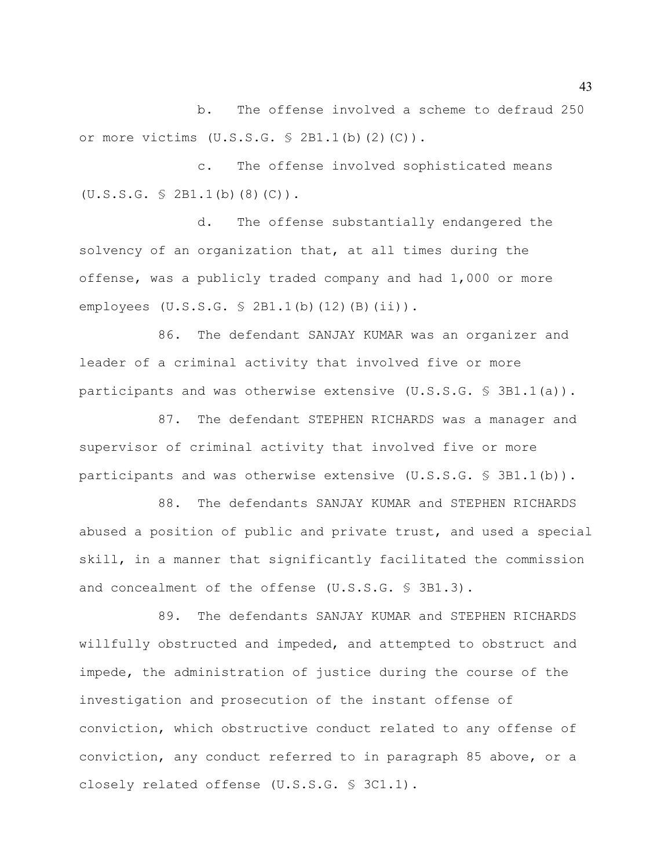b. The offense involved a scheme to defraud 250 or more victims  $(U.S.S.G. \$ 2B1.1(b) (2) (C))$ .

c. The offense involved sophisticated means (U.S.S.G. § 2B1.1(b)(8)(C)).

d. The offense substantially endangered the solvency of an organization that, at all times during the offense, was a publicly traded company and had 1,000 or more employees (U.S.S.G. § 2B1.1(b)(12)(B)(ii)).

86. The defendant SANJAY KUMAR was an organizer and leader of a criminal activity that involved five or more participants and was otherwise extensive  $(U.S.S.G. \S 3B1.1(a))$ .

87. The defendant STEPHEN RICHARDS was a manager and supervisor of criminal activity that involved five or more participants and was otherwise extensive  $(U.S.S.G. \S 3B1.1(b))$ .

88. The defendants SANJAY KUMAR and STEPHEN RICHARDS abused a position of public and private trust, and used a special skill, in a manner that significantly facilitated the commission and concealment of the offense (U.S.S.G. § 3B1.3).

89. The defendants SANJAY KUMAR and STEPHEN RICHARDS willfully obstructed and impeded, and attempted to obstruct and impede, the administration of justice during the course of the investigation and prosecution of the instant offense of conviction, which obstructive conduct related to any offense of conviction, any conduct referred to in paragraph 85 above, or a closely related offense (U.S.S.G. § 3C1.1).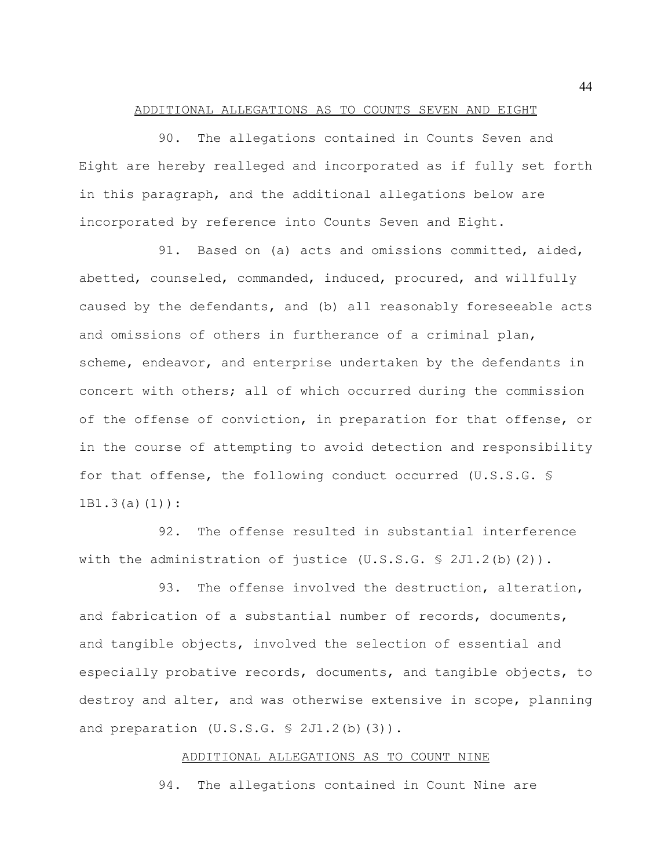#### ADDITIONAL ALLEGATIONS AS TO COUNTS SEVEN AND EIGHT

90. The allegations contained in Counts Seven and Eight are hereby realleged and incorporated as if fully set forth in this paragraph, and the additional allegations below are incorporated by reference into Counts Seven and Eight.

91. Based on (a) acts and omissions committed, aided, abetted, counseled, commanded, induced, procured, and willfully caused by the defendants, and (b) all reasonably foreseeable acts and omissions of others in furtherance of a criminal plan, scheme, endeavor, and enterprise undertaken by the defendants in concert with others; all of which occurred during the commission of the offense of conviction, in preparation for that offense, or in the course of attempting to avoid detection and responsibility for that offense, the following conduct occurred (U.S.S.G. § 1B1.3(a)(1)):

92. The offense resulted in substantial interference with the administration of justice (U.S.S.G. § 2J1.2(b)(2)).

93. The offense involved the destruction, alteration, and fabrication of a substantial number of records, documents, and tangible objects, involved the selection of essential and especially probative records, documents, and tangible objects, to destroy and alter, and was otherwise extensive in scope, planning and preparation  $(U.S.S.G. \S 2J1.2(b)(3))$ .

#### ADDITIONAL ALLEGATIONS AS TO COUNT NINE

94. The allegations contained in Count Nine are